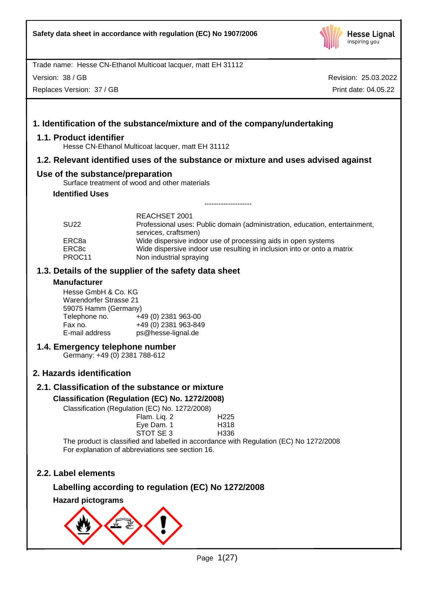

Version: 38 / GB

Replaces Version: 37 / GB

Revision: 25.03.2022 Print date: 04.05.22

# **1. Identification of the substance/mixture and of the company/undertaking**

# **1.1. Product identifier**

Hesse CN-Ethanol Multicoat lacquer, matt EH 31112

# **1.2. Relevant identified uses of the substance or mixture and uses advised against**

# **Use of the substance/preparation**

Surface treatment of wood and other materials

**Identified Uses**

| <b>SU22</b> | REACHSET 2001<br>Professional uses: Public domain (administration, education, entertainment, |  |
|-------------|----------------------------------------------------------------------------------------------|--|
|             | services, craftsmen)                                                                         |  |
| ERC8a       | Wide dispersive indoor use of processing aids in open systems                                |  |
| ERC8c       | Wide dispersive indoor use resulting in inclusion into or onto a matrix                      |  |
| PROC11      | Non industrial spraying                                                                      |  |

--------------------

# **1.3. Details of the supplier of the safety data sheet**

# **Manufacturer**

Hesse GmbH & Co. KG Warendorfer Strasse 21 59075 Hamm (Germany) Telephone no. +49 (0) 2381 963-00<br>Fax no. +49 (0) 2381 963-849  $\begin{array}{r} \text{Fax no.} \\ \text{E-mail address} \\ \text{B=1} \end{array}$  +49 (0) 2381 963-849 ps@hesse-lignal.de

# **1.4. Emergency telephone number**

Germany: +49 (0) 2381 788-612

# **2. Hazards identification**

# **2.1. Classification of the substance or mixture**

# **Classification (Regulation (EC) No. 1272/2008)**

Classification (Regulation (EC) No. 1272/2008)

| 111011 (LO) 110. 1212/2000) |                  |  |
|-----------------------------|------------------|--|
| Flam. Liq. 2                | H <sub>225</sub> |  |
| Eye Dam. 1                  | H318             |  |
| STOT SE 3                   | H <sub>336</sub> |  |
|                             | --               |  |

The product is classified and labelled in accordance with Regulation (EC) No 1272/2008 For explanation of abbreviations see section 16.

# **2.2. Label elements**

# **Labelling according to regulation (EC) No 1272/2008**

**Hazard pictograms**

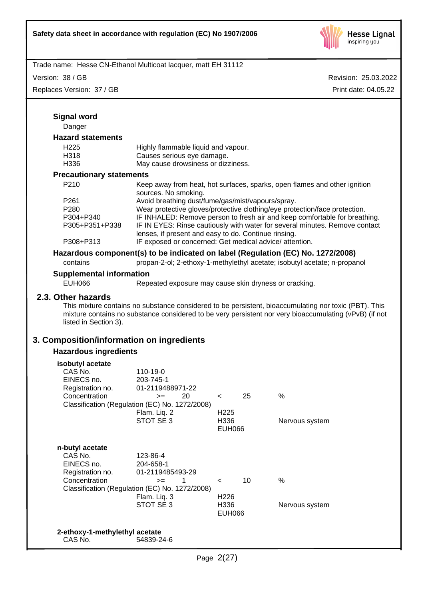

Version: 38 / GB

| Version: 38 / GB<br>Replaces Version: 37 / GB                                                      |                                                                                                                                     |                  | Revision: 25.03.2022 |                      |  |
|----------------------------------------------------------------------------------------------------|-------------------------------------------------------------------------------------------------------------------------------------|------------------|----------------------|----------------------|--|
|                                                                                                    |                                                                                                                                     |                  |                      | Print date: 04.05.22 |  |
| <b>Signal word</b>                                                                                 |                                                                                                                                     |                  |                      |                      |  |
| Danger                                                                                             |                                                                                                                                     |                  |                      |                      |  |
| <b>Hazard statements</b>                                                                           |                                                                                                                                     |                  |                      |                      |  |
| H <sub>225</sub>                                                                                   | Highly flammable liquid and vapour.                                                                                                 |                  |                      |                      |  |
| H318                                                                                               | Causes serious eye damage.                                                                                                          |                  |                      |                      |  |
| H336                                                                                               | May cause drowsiness or dizziness.                                                                                                  |                  |                      |                      |  |
| <b>Precautionary statements</b>                                                                    |                                                                                                                                     |                  |                      |                      |  |
| P210                                                                                               | Keep away from heat, hot surfaces, sparks, open flames and other ignition<br>sources. No smoking.                                   |                  |                      |                      |  |
| P261                                                                                               | Avoid breathing dust/fume/gas/mist/vapours/spray.                                                                                   |                  |                      |                      |  |
| P280                                                                                               | Wear protective gloves/protective clothing/eye protection/face protection.                                                          |                  |                      |                      |  |
| P304+P340<br>P305+P351+P338                                                                        | IF INHALED: Remove person to fresh air and keep comfortable for breathing.                                                          |                  |                      |                      |  |
|                                                                                                    | IF IN EYES: Rinse cautiously with water for several minutes. Remove contact<br>lenses, if present and easy to do. Continue rinsing. |                  |                      |                      |  |
| P308+P313                                                                                          | IF exposed or concerned: Get medical advice/attention.                                                                              |                  |                      |                      |  |
|                                                                                                    | Hazardous component(s) to be indicated on label (Regulation (EC) No. 1272/2008)                                                     |                  |                      |                      |  |
| contains                                                                                           | propan-2-ol; 2-ethoxy-1-methylethyl acetate; isobutyl acetate; n-propanol                                                           |                  |                      |                      |  |
| <b>Supplemental information</b>                                                                    |                                                                                                                                     |                  |                      |                      |  |
| <b>EUH066</b>                                                                                      | Repeated exposure may cause skin dryness or cracking.                                                                               |                  |                      |                      |  |
| listed in Section 3).<br>3. Composition/information on ingredients<br><b>Hazardous ingredients</b> |                                                                                                                                     |                  |                      |                      |  |
| isobutyl acetate                                                                                   |                                                                                                                                     |                  |                      |                      |  |
| CAS No.                                                                                            | 110-19-0                                                                                                                            |                  |                      |                      |  |
| EINECS no.                                                                                         | 203-745-1                                                                                                                           |                  |                      |                      |  |
| Registration no.                                                                                   | 01-2119488971-22                                                                                                                    |                  |                      |                      |  |
| Concentration                                                                                      | 20<br>$>=$<br>Classification (Regulation (EC) No. 1272/2008)                                                                        | 25<br>$\,<\,$    | %                    |                      |  |
|                                                                                                    | Flam. Liq. 2                                                                                                                        | H <sub>225</sub> |                      |                      |  |
|                                                                                                    | STOT SE 3                                                                                                                           | H336             | Nervous system       |                      |  |
|                                                                                                    |                                                                                                                                     | <b>EUH066</b>    |                      |                      |  |
| n-butyl acetate                                                                                    |                                                                                                                                     |                  |                      |                      |  |
| CAS No.                                                                                            | 123-86-4                                                                                                                            |                  |                      |                      |  |
| EINECS no.                                                                                         | 204-658-1                                                                                                                           |                  |                      |                      |  |
| Registration no.<br>Concentration                                                                  | 01-2119485493-29                                                                                                                    | 10               | %                    |                      |  |
|                                                                                                    | $>=$<br>1<br>Classification (Regulation (EC) No. 1272/2008)                                                                         | $\,<\,$          |                      |                      |  |
|                                                                                                    | Flam. Liq. 3                                                                                                                        | H <sub>226</sub> |                      |                      |  |
|                                                                                                    | STOT SE 3                                                                                                                           | H336             | Nervous system       |                      |  |
|                                                                                                    |                                                                                                                                     | <b>EUH066</b>    |                      |                      |  |
| 2-ethoxy-1-methylethyl acetate                                                                     |                                                                                                                                     |                  |                      |                      |  |
| CAS No.                                                                                            | 54839-24-6                                                                                                                          |                  |                      |                      |  |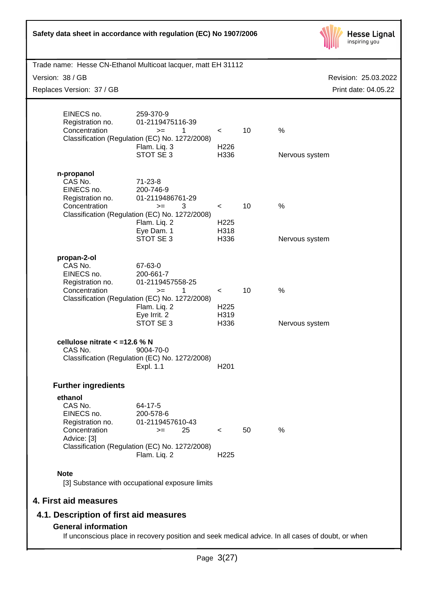| Safety data sheet in accordance with regulation (EC) No 1907/2006                                                               | <b>Hesse Lignal</b><br>inspiring you |    |                      |
|---------------------------------------------------------------------------------------------------------------------------------|--------------------------------------|----|----------------------|
| Trade name: Hesse CN-Ethanol Multicoat lacquer, matt EH 31112                                                                   |                                      |    |                      |
| Version: 38 / GB                                                                                                                |                                      |    | Revision: 25.03.2022 |
| Replaces Version: 37 / GB                                                                                                       |                                      |    | Print date: 04.05.22 |
| EINECS no.<br>259-370-9<br>Registration no.<br>01-2119475116-39                                                                 |                                      |    |                      |
| Concentration<br>1<br>$>=$<br>Classification (Regulation (EC) No. 1272/2008)                                                    | $\prec$                              | 10 | %                    |
| Flam. Liq. 3<br>STOT SE 3                                                                                                       | H <sub>226</sub><br>H336             |    | Nervous system       |
| n-propanol<br>CAS No.<br>$71 - 23 - 8$<br>EINECS no.<br>200-746-9<br>Registration no.<br>01-2119486761-29                       |                                      |    |                      |
| Concentration<br>3<br>$>=$<br>Classification (Regulation (EC) No. 1272/2008)<br>Flam. Liq. 2                                    | $\prec$<br>H <sub>225</sub>          | 10 | %                    |
| Eye Dam. 1<br>STOT SE3                                                                                                          | H318<br>H336                         |    | Nervous system       |
| propan-2-ol<br>CAS No.<br>67-63-0<br>EINECS no.<br>200-661-7<br>Registration no.<br>01-2119457558-25                            |                                      |    |                      |
| Concentration<br>1<br>$>=$<br>Classification (Regulation (EC) No. 1272/2008)<br>Flam. Liq. 2                                    | $\prec$<br>H <sub>225</sub>          | 10 | %                    |
| Eye Irrit. 2<br>STOT SE3                                                                                                        | H319<br>H336                         |    | Nervous system       |
| cellulose nitrate < = 12.6 % N<br>CAS No.<br>9004-70-0<br>Classification (Regulation (EC) No. 1272/2008)<br>Expl. 1.1           | H <sub>201</sub>                     |    |                      |
| <b>Further ingredients</b>                                                                                                      |                                      |    |                      |
| ethanol<br>CAS No.<br>64-17-5<br>EINECS no.<br>200-578-6<br>01-2119457610-43<br>Registration no.                                |                                      |    |                      |
| Concentration<br>25<br>$>=$<br>Advice: [3]                                                                                      | $\prec$                              | 50 | $\%$                 |
| Classification (Regulation (EC) No. 1272/2008)<br>Flam. Liq. 2                                                                  | H <sub>225</sub>                     |    |                      |
| <b>Note</b><br>[3] Substance with occupational exposure limits                                                                  |                                      |    |                      |
| 4. First aid measures                                                                                                           |                                      |    |                      |
| 4.1. Description of first aid measures                                                                                          |                                      |    |                      |
| <b>General information</b><br>If unconscious place in recovery position and seek medical advice. In all cases of doubt, or when |                                      |    |                      |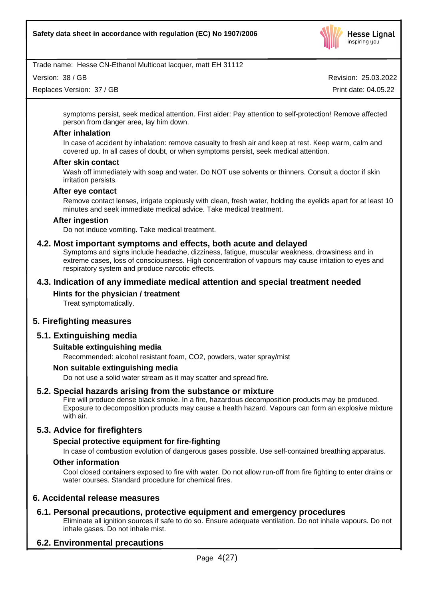

Version: 38 / GB

Replaces Version: 37 / GB

Revision: 25.03.2022 Print date: 04.05.22

symptoms persist, seek medical attention. First aider: Pay attention to self-protection! Remove affected person from danger area, lay him down.

# **After inhalation**

In case of accident by inhalation: remove casualty to fresh air and keep at rest. Keep warm, calm and covered up. In all cases of doubt, or when symptoms persist, seek medical attention.

#### **After skin contact**

Wash off immediately with soap and water. Do NOT use solvents or thinners. Consult a doctor if skin irritation persists.

#### **After eye contact**

Remove contact lenses, irrigate copiously with clean, fresh water, holding the eyelids apart for at least 10 minutes and seek immediate medical advice. Take medical treatment.

#### **After ingestion**

Do not induce vomiting. Take medical treatment.

# **4.2. Most important symptoms and effects, both acute and delayed**

Symptoms and signs include headache, dizziness, fatigue, muscular weakness, drowsiness and in extreme cases, loss of consciousness. High concentration of vapours may cause irritation to eyes and respiratory system and produce narcotic effects.

# **4.3. Indication of any immediate medical attention and special treatment needed**

# **Hints for the physician / treatment**

Treat symptomatically.

# **5. Firefighting measures**

# **5.1. Extinguishing media**

# **Suitable extinguishing media**

Recommended: alcohol resistant foam, CO2, powders, water spray/mist

#### **Non suitable extinguishing media**

Do not use a solid water stream as it may scatter and spread fire.

# **5.2. Special hazards arising from the substance or mixture**

Fire will produce dense black smoke. In a fire, hazardous decomposition products may be produced. Exposure to decomposition products may cause a health hazard. Vapours can form an explosive mixture with air.

# **5.3. Advice for firefighters**

# **Special protective equipment for fire-fighting**

In case of combustion evolution of dangerous gases possible.Use self-contained breathing apparatus.

#### **Other information**

Cool closed containers exposed to fire with water. Do not allow run-off from fire fighting to enter drains or water courses. Standard procedure for chemical fires.

# **6. Accidental release measures**

# **6.1. Personal precautions, protective equipment and emergency procedures**

Eliminate all ignition sources if safe to do so. Ensure adequate ventilation. Do not inhale vapours. Do not inhale gases. Do not inhale mist.

# **6.2. Environmental precautions**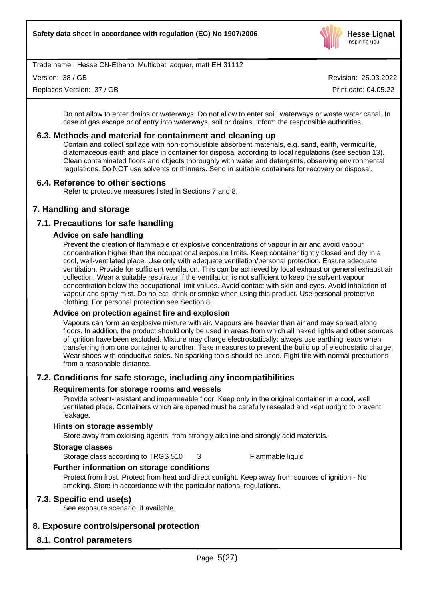

Version: 38 / GB

Replaces Version: 37 / GB

Revision: 25.03.2022

Print date: 04.05.22

Do not allow to enter drains or waterways. Do not allow to enter soil, waterways or waste water canal. In case of gas escape or of entry into waterways, soil or drains, inform the responsible authorities.

# **6.3. Methods and material for containment and cleaning up**

Contain and collect spillage with non-combustible absorbent materials, e.g. sand, earth, vermiculite, diatomaceous earth and place in container for disposal according to local regulations (see section 13). Clean contaminated floors and objects thoroughly with water and detergents, observing environmental regulations. Do NOT use solvents or thinners. Send in suitable containers for recovery or disposal.

# **6.4. Reference to other sections**

Refer to protective measures listed in Sections 7 and 8.

# **7. Handling and storage**

# **7.1. Precautions for safe handling**

# **Advice on safe handling**

Prevent the creation of flammable or explosive concentrations of vapour in air and avoid vapour concentration higher than the occupational exposure limits. Keep container tightly closed and dry in a cool, well-ventilated place. Use only with adequate ventilation/personal protection. Ensure adequate ventilation. Provide for sufficient ventilation. This can be achieved by local exhaust or general exhaust air collection. Wear a suitable respirator if the ventilation is not sufficient to keep the solvent vapour concentration below the occupational limit values. Avoid contact with skin and eyes. Avoid inhalation of vapour and spray mist. Do no eat, drink or smoke when using this product. Use personal protective clothing. For personal protection see Section 8.

# **Advice on protection against fire and explosion**

Vapours can form an explosive mixture with air. Vapours are heavier than air and may spread along floors. In addition, the product should only be used in areas from which all naked lights and other sources of ignition have been excluded. Mixture may charge electrostatically: always use earthing leads when transferring from one container to another. Take measures to prevent the build up of electrostatic charge. Wear shoes with conductive soles. No sparking tools should be used. Fight fire with normal precautions from a reasonable distance.

# **7.2. Conditions for safe storage, including any incompatibilities**

# **Requirements for storage rooms and vessels**

Provide solvent-resistant and impermeable floor. Keep only in the original container in a cool, well ventilated place. Containers which are opened must be carefully resealed and kept upright to prevent leakage.

# **Hints on storage assembly**

Store away from oxidising agents, from strongly alkaline and strongly acid materials.

#### **Storage classes**

Storage class according to TRGS 510 3

Flammable liquid

# **Further information on storage conditions**

Protect from frost. Protect from heat and direct sunlight. Keep away from sources of ignition - No smoking. Store in accordance with the particular national regulations.

# **7.3. Specific end use(s)**

See exposure scenario, if available.

# **8. Exposure controls/personal protection**

# **8.1. Control parameters**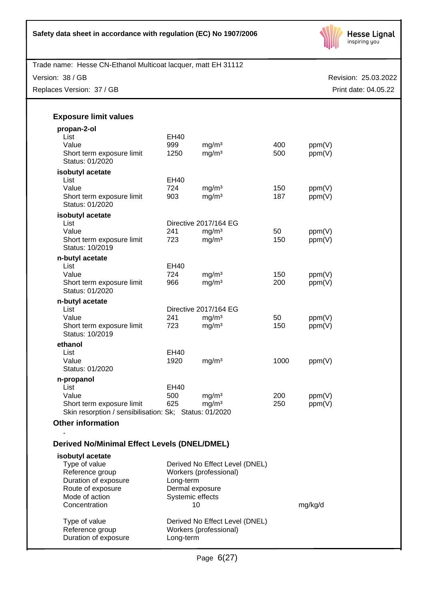

Version: 38 / GB

Replaces Version: 37 / GB

Revision: 25.03.2022 Print date: 04.05.22

| <b>Exposure limit values</b>                           |                  |                                |      |         |
|--------------------------------------------------------|------------------|--------------------------------|------|---------|
| propan-2-ol                                            |                  |                                |      |         |
| List                                                   | <b>EH40</b>      |                                |      |         |
| Value                                                  | 999              | mg/m <sup>3</sup>              | 400  | ppm(V)  |
| Short term exposure limit<br>Status: 01/2020           | 1250             | mg/m <sup>3</sup>              | 500  | ppm(V)  |
| isobutyl acetate                                       |                  |                                |      |         |
| List                                                   | <b>EH40</b>      |                                |      |         |
| Value                                                  | 724              | mg/m <sup>3</sup>              | 150  | ppm(V)  |
| Short term exposure limit<br>Status: 01/2020           | 903              | mg/m <sup>3</sup>              | 187  | ppm(V)  |
| isobutyl acetate                                       |                  |                                |      |         |
| List                                                   |                  | Directive 2017/164 EG          |      |         |
| Value                                                  | 241              | mg/m <sup>3</sup>              | 50   | ppm(V)  |
| Short term exposure limit<br>Status: 10/2019           | 723              | mg/m <sup>3</sup>              | 150  | ppm(V)  |
| n-butyl acetate                                        |                  |                                |      |         |
| List                                                   | EH40             |                                |      |         |
| Value                                                  | 724              | mg/m <sup>3</sup>              | 150  | ppm(V)  |
| Short term exposure limit<br>Status: 01/2020           | 966              | mg/m <sup>3</sup>              | 200  | ppm(V)  |
| n-butyl acetate                                        |                  |                                |      |         |
| List                                                   |                  | Directive 2017/164 EG          |      |         |
| Value                                                  | 241              | mg/m <sup>3</sup>              | 50   | ppm(V)  |
| Short term exposure limit<br>Status: 10/2019           | 723              | mg/m <sup>3</sup>              | 150  | ppm(V)  |
| ethanol                                                |                  |                                |      |         |
| List                                                   | <b>EH40</b>      |                                |      |         |
| Value                                                  | 1920             | mg/m <sup>3</sup>              | 1000 | ppm(V)  |
| Status: 01/2020                                        |                  |                                |      |         |
| n-propanol                                             |                  |                                |      |         |
| List                                                   | EH40             |                                |      |         |
| Value                                                  | 500              | mg/m <sup>3</sup>              | 200  | ppm(V)  |
| Short term exposure limit                              | 625              | mg/m <sup>3</sup>              | 250  | ppm(V)  |
| Skin resorption / sensibilisation: Sk; Status: 01/2020 |                  |                                |      |         |
| <b>Other information</b>                               |                  |                                |      |         |
|                                                        |                  |                                |      |         |
| <b>Derived No/Minimal Effect Levels (DNEL/DMEL)</b>    |                  |                                |      |         |
| isobutyl acetate                                       |                  |                                |      |         |
| Type of value                                          |                  | Derived No Effect Level (DNEL) |      |         |
| Reference group                                        |                  | Workers (professional)         |      |         |
| Duration of exposure                                   | Long-term        |                                |      |         |
| Route of exposure                                      | Dermal exposure  |                                |      |         |
| Mode of action                                         | Systemic effects |                                |      |         |
| Concentration                                          | 10               |                                |      | mg/kg/d |
| Type of value                                          |                  | Derived No Effect Level (DNEL) |      |         |

Reference group Workers (professional)

Duration of exposure Long-term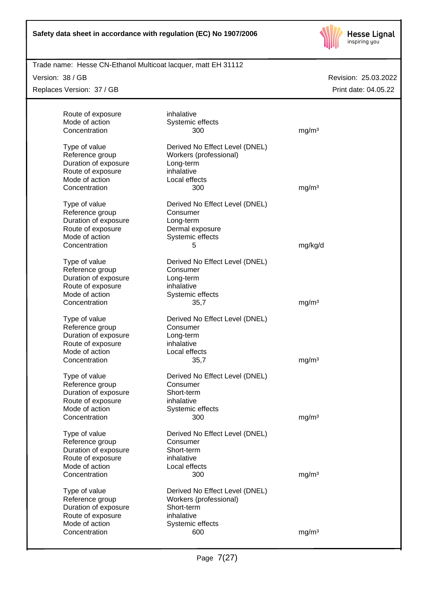

Trade name: Hesse CN-Ethanol Multicoat lacquer, matt EH 31112

Version: 38 / GB

Replaces Version: 37 / GB

| Route of exposure    | inhalative                     |                   |
|----------------------|--------------------------------|-------------------|
| Mode of action       | Systemic effects               |                   |
| Concentration        | 300                            | mg/m <sup>3</sup> |
| Type of value        | Derived No Effect Level (DNEL) |                   |
| Reference group      | Workers (professional)         |                   |
| Duration of exposure | Long-term                      |                   |
| Route of exposure    | inhalative                     |                   |
| Mode of action       | Local effects                  |                   |
| Concentration        | 300                            | mg/m <sup>3</sup> |
|                      |                                |                   |
| Type of value        | Derived No Effect Level (DNEL) |                   |
| Reference group      | Consumer                       |                   |
| Duration of exposure | Long-term                      |                   |
| Route of exposure    | Dermal exposure                |                   |
| Mode of action       | Systemic effects               |                   |
| Concentration        | 5                              | mg/kg/d           |
| Type of value        | Derived No Effect Level (DNEL) |                   |
| Reference group      | Consumer                       |                   |
| Duration of exposure | Long-term                      |                   |
| Route of exposure    | inhalative                     |                   |
| Mode of action       | Systemic effects               |                   |
| Concentration        | 35,7                           | mg/m <sup>3</sup> |
| Type of value        | Derived No Effect Level (DNEL) |                   |
| Reference group      | Consumer                       |                   |
| Duration of exposure | Long-term                      |                   |
| Route of exposure    | inhalative                     |                   |
| Mode of action       | Local effects                  |                   |
| Concentration        | 35,7                           | mg/m <sup>3</sup> |
|                      |                                |                   |
| Type of value        | Derived No Effect Level (DNEL) |                   |
| Reference group      | Consumer                       |                   |
| Duration of exposure | Short-term                     |                   |
| Route of exposure    | inhalative                     |                   |
| Mode of action       | Systemic effects               |                   |
| Concentration        | 300                            | mg/m <sup>3</sup> |
| Type of value        | Derived No Effect Level (DNEL) |                   |
| Reference group      | Consumer                       |                   |
| Duration of exposure | Short-term                     |                   |
| Route of exposure    | inhalative                     |                   |
| Mode of action       | Local effects                  |                   |
| Concentration        | 300                            | mg/m <sup>3</sup> |
|                      |                                |                   |
| Type of value        | Derived No Effect Level (DNEL) |                   |
| Reference group      | Workers (professional)         |                   |
| Duration of exposure | Short-term                     |                   |
| Route of exposure    | inhalative                     |                   |
| Mode of action       | Systemic effects               |                   |
| Concentration        | 600                            | mg/m <sup>3</sup> |
|                      |                                |                   |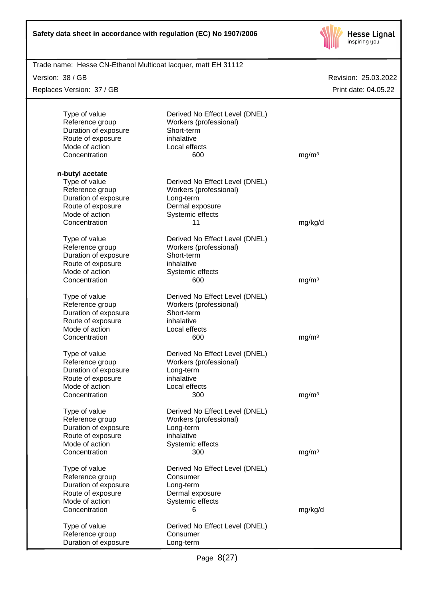| Safety data sheet in accordance with regulation (EC) No 1907/2006 |
|-------------------------------------------------------------------|
|-------------------------------------------------------------------|



| Trade name: Hesse CN-Ethanol Multicoat lacquer, matt EH 31112 |                                |                      |
|---------------------------------------------------------------|--------------------------------|----------------------|
| Version: 38 / GB                                              |                                | Revision: 25.03.2022 |
| Replaces Version: 37 / GB                                     |                                | Print date: 04.05.22 |
|                                                               |                                |                      |
| Type of value                                                 | Derived No Effect Level (DNEL) |                      |
| Reference group                                               | Workers (professional)         |                      |
| Duration of exposure                                          | Short-term                     |                      |
| Route of exposure                                             | inhalative                     |                      |
| Mode of action                                                | Local effects                  |                      |
| Concentration                                                 | 600                            | mg/m <sup>3</sup>    |
| n-butyl acetate                                               |                                |                      |
| Type of value                                                 | Derived No Effect Level (DNEL) |                      |
| Reference group                                               | Workers (professional)         |                      |
| Duration of exposure                                          | Long-term                      |                      |
| Route of exposure                                             | Dermal exposure                |                      |
| Mode of action                                                | Systemic effects               |                      |
| Concentration                                                 | 11                             | mg/kg/d              |
|                                                               |                                |                      |
| Type of value                                                 | Derived No Effect Level (DNEL) |                      |
| Reference group                                               | Workers (professional)         |                      |
| Duration of exposure                                          | Short-term                     |                      |
| Route of exposure                                             | inhalative                     |                      |
| Mode of action                                                | Systemic effects               |                      |
| Concentration                                                 | 600                            | mg/m <sup>3</sup>    |
| Type of value                                                 | Derived No Effect Level (DNEL) |                      |
| Reference group                                               | Workers (professional)         |                      |
| Duration of exposure                                          | Short-term                     |                      |
| Route of exposure                                             | inhalative                     |                      |
| Mode of action                                                | Local effects                  |                      |
|                                                               |                                |                      |
| Concentration                                                 | 600                            | mg/m <sup>3</sup>    |
| Type of value                                                 | Derived No Effect Level (DNEL) |                      |
| Reference group                                               | Workers (professional)         |                      |
| Duration of exposure                                          | Long-term                      |                      |
| Route of exposure                                             | inhalative                     |                      |
| Mode of action                                                | Local effects                  |                      |
| Concentration                                                 | 300                            | mg/m <sup>3</sup>    |
| Type of value                                                 | Derived No Effect Level (DNEL) |                      |
| Reference group                                               | Workers (professional)         |                      |
| Duration of exposure                                          | Long-term                      |                      |
| Route of exposure                                             | inhalative                     |                      |
| Mode of action                                                | Systemic effects               |                      |
| Concentration                                                 | 300                            | mg/m <sup>3</sup>    |
|                                                               |                                |                      |
| Type of value                                                 | Derived No Effect Level (DNEL) |                      |
| Reference group                                               | Consumer                       |                      |
| Duration of exposure                                          | Long-term                      |                      |
| Route of exposure                                             | Dermal exposure                |                      |
| Mode of action                                                | Systemic effects               |                      |
| Concentration                                                 | 6                              | mg/kg/d              |
| Type of value                                                 | Derived No Effect Level (DNEL) |                      |
| Reference group                                               | Consumer                       |                      |
| Duration of exposure                                          | Long-term                      |                      |
|                                                               |                                |                      |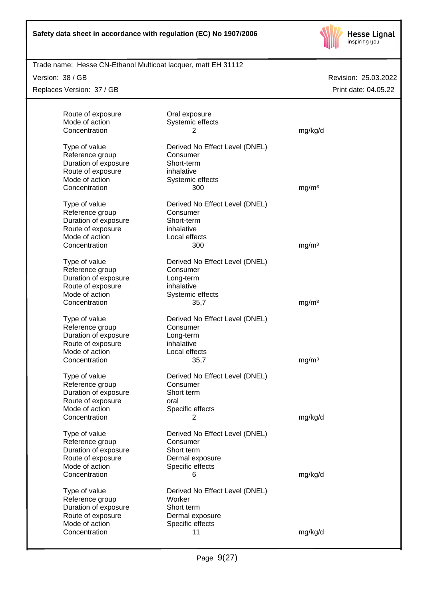

Trade name: Hesse CN-Ethanol Multicoat lacquer, matt EH 31112

Version: 38 / GB

Replaces Version: 37 / GB

| Route of exposure                                                                                                | Oral exposure                                                                                         |                   |
|------------------------------------------------------------------------------------------------------------------|-------------------------------------------------------------------------------------------------------|-------------------|
| Mode of action<br>Concentration                                                                                  | Systemic effects<br>2                                                                                 | mg/kg/d           |
| Type of value<br>Reference group<br>Duration of exposure<br>Route of exposure<br>Mode of action                  | Derived No Effect Level (DNEL)<br>Consumer<br>Short-term<br>inhalative<br>Systemic effects            |                   |
| Concentration                                                                                                    | 300                                                                                                   | mg/m <sup>3</sup> |
| Type of value<br>Reference group<br>Duration of exposure<br>Route of exposure<br>Mode of action<br>Concentration | Derived No Effect Level (DNEL)<br>Consumer<br>Short-term<br>inhalative<br>Local effects<br>300        | mg/m <sup>3</sup> |
|                                                                                                                  |                                                                                                       |                   |
| Type of value<br>Reference group<br>Duration of exposure<br>Route of exposure<br>Mode of action                  | Derived No Effect Level (DNEL)<br>Consumer<br>Long-term<br>inhalative<br>Systemic effects             |                   |
| Concentration                                                                                                    | 35,7                                                                                                  | mg/m <sup>3</sup> |
| Type of value<br>Reference group<br>Duration of exposure<br>Route of exposure<br>Mode of action                  | Derived No Effect Level (DNEL)<br>Consumer<br>Long-term<br>inhalative<br>Local effects                |                   |
| Concentration                                                                                                    | 35,7                                                                                                  | mg/m <sup>3</sup> |
| Type of value<br>Reference group<br>Duration of exposure<br>Route of exposure<br>Mode of action<br>Concentration | Derived No Effect Level (DNEL)<br>Consumer<br>Short term<br>oral<br>Specific effects<br>$\mathcal{P}$ | mg/kg/d           |
| Type of value                                                                                                    | Derived No Effect Level (DNEL)                                                                        |                   |
| Reference group<br>Duration of exposure<br>Route of exposure<br>Mode of action                                   | Consumer<br>Short term<br>Dermal exposure<br>Specific effects                                         |                   |
| Concentration                                                                                                    | 6                                                                                                     | mg/kg/d           |
| Type of value<br>Reference group<br>Duration of exposure<br>Route of exposure<br>Mode of action                  | Derived No Effect Level (DNEL)<br>Worker<br>Short term<br>Dermal exposure<br>Specific effects         |                   |
| Concentration                                                                                                    | 11                                                                                                    | mg/kg/d           |
|                                                                                                                  |                                                                                                       |                   |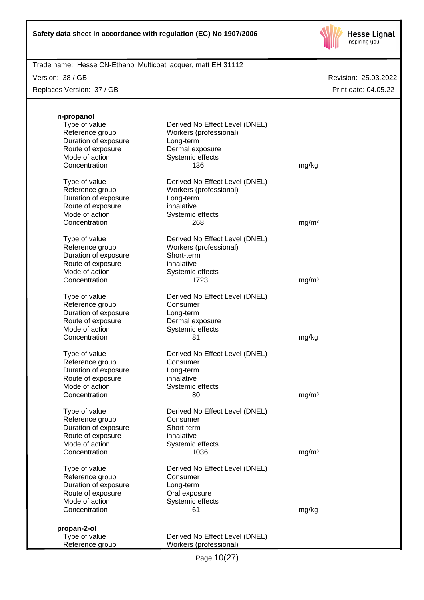

Trade name: Hesse CN-Ethanol Multicoat lacquer, matt EH 31112

Version: 38 / GB

Replaces Version: 37 / GB

| n-propanol                          |                                |                   |
|-------------------------------------|--------------------------------|-------------------|
| Type of value                       | Derived No Effect Level (DNEL) |                   |
| Reference group                     | Workers (professional)         |                   |
| Duration of exposure                | Long-term                      |                   |
| Route of exposure                   | Dermal exposure                |                   |
| Mode of action                      | Systemic effects               |                   |
| Concentration                       | 136                            | mg/kg             |
|                                     |                                |                   |
| Type of value                       | Derived No Effect Level (DNEL) |                   |
| Reference group                     | Workers (professional)         |                   |
| Duration of exposure                | Long-term                      |                   |
| Route of exposure                   | inhalative                     |                   |
| Mode of action<br>Concentration     | Systemic effects<br>268        |                   |
|                                     |                                | mg/m <sup>3</sup> |
| Type of value                       | Derived No Effect Level (DNEL) |                   |
| Reference group                     | Workers (professional)         |                   |
| Duration of exposure                | Short-term                     |                   |
| Route of exposure                   | inhalative                     |                   |
| Mode of action                      | Systemic effects               |                   |
| Concentration                       | 1723                           | mg/m <sup>3</sup> |
| Type of value                       | Derived No Effect Level (DNEL) |                   |
| Reference group                     | Consumer                       |                   |
| Duration of exposure                | Long-term                      |                   |
| Route of exposure                   | Dermal exposure                |                   |
| Mode of action                      | Systemic effects               |                   |
| Concentration                       | 81                             | mg/kg             |
|                                     |                                |                   |
| Type of value                       | Derived No Effect Level (DNEL) |                   |
| Reference group                     | Consumer                       |                   |
| Duration of exposure                | Long-term<br>inhalative        |                   |
| Route of exposure<br>Mode of action | Systemic effects               |                   |
| Concentration                       | 80                             | mg/m <sup>3</sup> |
|                                     |                                |                   |
| Type of value                       | Derived No Effect Level (DNEL) |                   |
| Reference group                     | Consumer                       |                   |
| Duration of exposure                | Short-term                     |                   |
| Route of exposure                   | inhalative                     |                   |
| Mode of action                      | Systemic effects               |                   |
| Concentration                       | 1036                           | mg/m <sup>3</sup> |
| Type of value                       | Derived No Effect Level (DNEL) |                   |
| Reference group                     | Consumer                       |                   |
| Duration of exposure                | Long-term                      |                   |
| Route of exposure                   | Oral exposure                  |                   |
| Mode of action                      | Systemic effects               |                   |
| Concentration                       | 61                             | mg/kg             |
|                                     |                                |                   |
| propan-2-ol<br>Type of value        | Derived No Effect Level (DNEL) |                   |
| Reference group                     | Workers (professional)         |                   |
|                                     |                                |                   |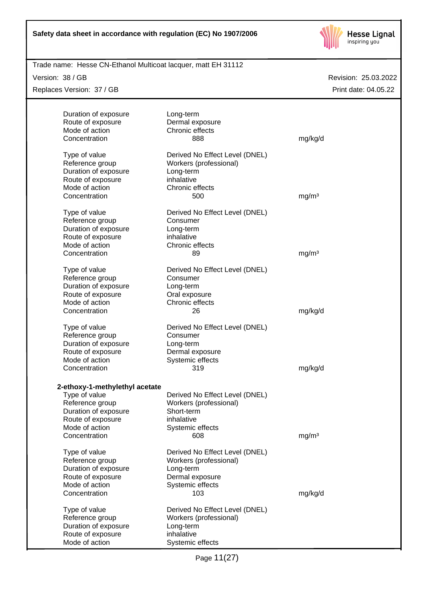

Trade name: Hesse CN-Ethanol Multicoat lacquer, matt EH 31112

Version: 38 / GB

Replaces Version: 37 / GB

|                   | Duration of exposure           | Long-term                      |                   |
|-------------------|--------------------------------|--------------------------------|-------------------|
| Route of exposure |                                | Dermal exposure                |                   |
| Mode of action    |                                | Chronic effects                |                   |
| Concentration     |                                | 888                            | mg/kg/d           |
| Type of value     |                                | Derived No Effect Level (DNEL) |                   |
| Reference group   |                                | Workers (professional)         |                   |
|                   | Duration of exposure           | Long-term                      |                   |
| Route of exposure |                                | inhalative                     |                   |
| Mode of action    |                                | Chronic effects                |                   |
| Concentration     |                                | 500                            | mg/m <sup>3</sup> |
| Type of value     |                                | Derived No Effect Level (DNEL) |                   |
| Reference group   |                                | Consumer                       |                   |
|                   | Duration of exposure           | Long-term                      |                   |
| Route of exposure |                                | inhalative                     |                   |
| Mode of action    |                                | Chronic effects                |                   |
| Concentration     |                                | 89                             | mg/m <sup>3</sup> |
| Type of value     |                                | Derived No Effect Level (DNEL) |                   |
| Reference group   |                                | Consumer                       |                   |
|                   | Duration of exposure           | Long-term                      |                   |
| Route of exposure |                                | Oral exposure                  |                   |
| Mode of action    |                                | Chronic effects                |                   |
| Concentration     |                                | 26                             | mg/kg/d           |
| Type of value     |                                | Derived No Effect Level (DNEL) |                   |
| Reference group   |                                | Consumer                       |                   |
|                   | Duration of exposure           | Long-term                      |                   |
| Route of exposure |                                | Dermal exposure                |                   |
| Mode of action    |                                | Systemic effects               |                   |
| Concentration     |                                | 319                            | mg/kg/d           |
|                   |                                |                                |                   |
|                   | 2-ethoxy-1-methylethyl acetate |                                |                   |
| Type of value     |                                | Derived No Effect Level (DNEL) |                   |
| Reference group   |                                | Workers (professional)         |                   |
|                   | Duration of exposure           | Short-term                     |                   |
| Route of exposure |                                | inhalative                     |                   |
| Mode of action    |                                | Systemic effects               |                   |
| Concentration     |                                | 608                            | mg/m <sup>3</sup> |
| Type of value     |                                | Derived No Effect Level (DNEL) |                   |
| Reference group   |                                | Workers (professional)         |                   |
|                   | Duration of exposure           | Long-term                      |                   |
| Route of exposure |                                | Dermal exposure                |                   |
| Mode of action    |                                | Systemic effects               |                   |
| Concentration     |                                | 103                            | mg/kg/d           |
| Type of value     |                                | Derived No Effect Level (DNEL) |                   |
| Reference group   |                                | Workers (professional)         |                   |
|                   | Duration of exposure           | Long-term                      |                   |
| Route of exposure |                                | inhalative                     |                   |
| Mode of action    |                                | Systemic effects               |                   |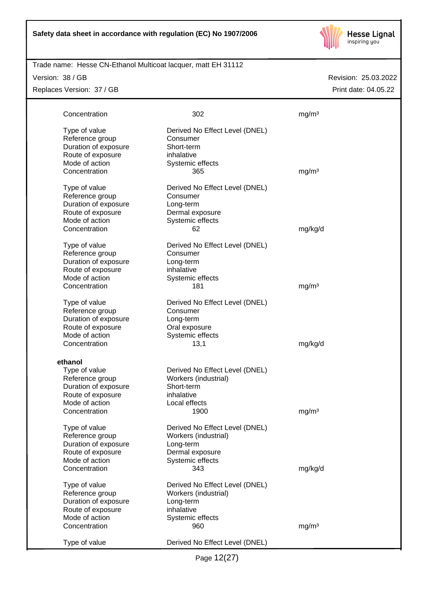

#### Trade name: Hesse CN-Ethanol Multicoat lacquer, matt EH 31112

Version: 38 / GB

Replaces Version: 37 / GB

| Type of value<br>Derived No Effect Level (DNEL)<br>Reference group<br>Consumer<br>Duration of exposure<br>Short-term<br>Route of exposure<br>inhalative<br>Mode of action<br>Systemic effects<br>Concentration<br>mg/m <sup>3</sup><br>365<br>Type of value<br>Derived No Effect Level (DNEL)<br>Reference group<br>Consumer<br>Duration of exposure<br>Long-term<br>Route of exposure<br>Dermal exposure<br>Mode of action<br>Systemic effects<br>Concentration<br>mg/kg/d<br>62<br>Type of value<br>Derived No Effect Level (DNEL)<br>Reference group<br>Consumer<br>Duration of exposure<br>Long-term<br>Route of exposure<br>inhalative<br>Mode of action<br>Systemic effects<br>Concentration<br>181<br>mg/m <sup>3</sup><br>Type of value<br>Derived No Effect Level (DNEL)<br>Reference group<br>Consumer<br>Duration of exposure<br>Long-term<br>Route of exposure<br>Oral exposure<br>Mode of action<br>Systemic effects<br>Concentration<br>mg/kg/d<br>13,1<br>ethanol<br>Derived No Effect Level (DNEL)<br>Type of value<br>Workers (industrial)<br>Reference group<br>Duration of exposure<br>Short-term<br>Route of exposure<br>inhalative<br>Mode of action<br>Local effects<br>Concentration<br>1900<br>mg/m <sup>3</sup><br>Type of value<br>Derived No Effect Level (DNEL)<br>Reference group<br>Workers (industrial)<br>Duration of exposure<br>Long-term<br>Route of exposure<br>Dermal exposure<br>Systemic effects<br>Mode of action<br>Concentration<br>343<br>mg/kg/d<br>Type of value<br>Derived No Effect Level (DNEL)<br>Reference group<br>Workers (industrial)<br>Duration of exposure<br>Long-term<br>Route of exposure<br>inhalative<br>Mode of action<br>Systemic effects<br>Concentration<br>mg/m <sup>3</sup><br>960<br>Type of value<br>Derived No Effect Level (DNEL) | Concentration | 302 | mg/m <sup>3</sup> |
|----------------------------------------------------------------------------------------------------------------------------------------------------------------------------------------------------------------------------------------------------------------------------------------------------------------------------------------------------------------------------------------------------------------------------------------------------------------------------------------------------------------------------------------------------------------------------------------------------------------------------------------------------------------------------------------------------------------------------------------------------------------------------------------------------------------------------------------------------------------------------------------------------------------------------------------------------------------------------------------------------------------------------------------------------------------------------------------------------------------------------------------------------------------------------------------------------------------------------------------------------------------------------------------------------------------------------------------------------------------------------------------------------------------------------------------------------------------------------------------------------------------------------------------------------------------------------------------------------------------------------------------------------------------------------------------------------------------------------------------------------------------------------------------------------------|---------------|-----|-------------------|
|                                                                                                                                                                                                                                                                                                                                                                                                                                                                                                                                                                                                                                                                                                                                                                                                                                                                                                                                                                                                                                                                                                                                                                                                                                                                                                                                                                                                                                                                                                                                                                                                                                                                                                                                                                                                          |               |     |                   |
|                                                                                                                                                                                                                                                                                                                                                                                                                                                                                                                                                                                                                                                                                                                                                                                                                                                                                                                                                                                                                                                                                                                                                                                                                                                                                                                                                                                                                                                                                                                                                                                                                                                                                                                                                                                                          |               |     |                   |
|                                                                                                                                                                                                                                                                                                                                                                                                                                                                                                                                                                                                                                                                                                                                                                                                                                                                                                                                                                                                                                                                                                                                                                                                                                                                                                                                                                                                                                                                                                                                                                                                                                                                                                                                                                                                          |               |     |                   |
|                                                                                                                                                                                                                                                                                                                                                                                                                                                                                                                                                                                                                                                                                                                                                                                                                                                                                                                                                                                                                                                                                                                                                                                                                                                                                                                                                                                                                                                                                                                                                                                                                                                                                                                                                                                                          |               |     |                   |
|                                                                                                                                                                                                                                                                                                                                                                                                                                                                                                                                                                                                                                                                                                                                                                                                                                                                                                                                                                                                                                                                                                                                                                                                                                                                                                                                                                                                                                                                                                                                                                                                                                                                                                                                                                                                          |               |     |                   |
|                                                                                                                                                                                                                                                                                                                                                                                                                                                                                                                                                                                                                                                                                                                                                                                                                                                                                                                                                                                                                                                                                                                                                                                                                                                                                                                                                                                                                                                                                                                                                                                                                                                                                                                                                                                                          |               |     |                   |
|                                                                                                                                                                                                                                                                                                                                                                                                                                                                                                                                                                                                                                                                                                                                                                                                                                                                                                                                                                                                                                                                                                                                                                                                                                                                                                                                                                                                                                                                                                                                                                                                                                                                                                                                                                                                          |               |     |                   |
|                                                                                                                                                                                                                                                                                                                                                                                                                                                                                                                                                                                                                                                                                                                                                                                                                                                                                                                                                                                                                                                                                                                                                                                                                                                                                                                                                                                                                                                                                                                                                                                                                                                                                                                                                                                                          |               |     |                   |
|                                                                                                                                                                                                                                                                                                                                                                                                                                                                                                                                                                                                                                                                                                                                                                                                                                                                                                                                                                                                                                                                                                                                                                                                                                                                                                                                                                                                                                                                                                                                                                                                                                                                                                                                                                                                          |               |     |                   |
|                                                                                                                                                                                                                                                                                                                                                                                                                                                                                                                                                                                                                                                                                                                                                                                                                                                                                                                                                                                                                                                                                                                                                                                                                                                                                                                                                                                                                                                                                                                                                                                                                                                                                                                                                                                                          |               |     |                   |
|                                                                                                                                                                                                                                                                                                                                                                                                                                                                                                                                                                                                                                                                                                                                                                                                                                                                                                                                                                                                                                                                                                                                                                                                                                                                                                                                                                                                                                                                                                                                                                                                                                                                                                                                                                                                          |               |     |                   |
|                                                                                                                                                                                                                                                                                                                                                                                                                                                                                                                                                                                                                                                                                                                                                                                                                                                                                                                                                                                                                                                                                                                                                                                                                                                                                                                                                                                                                                                                                                                                                                                                                                                                                                                                                                                                          |               |     |                   |
|                                                                                                                                                                                                                                                                                                                                                                                                                                                                                                                                                                                                                                                                                                                                                                                                                                                                                                                                                                                                                                                                                                                                                                                                                                                                                                                                                                                                                                                                                                                                                                                                                                                                                                                                                                                                          |               |     |                   |
|                                                                                                                                                                                                                                                                                                                                                                                                                                                                                                                                                                                                                                                                                                                                                                                                                                                                                                                                                                                                                                                                                                                                                                                                                                                                                                                                                                                                                                                                                                                                                                                                                                                                                                                                                                                                          |               |     |                   |
|                                                                                                                                                                                                                                                                                                                                                                                                                                                                                                                                                                                                                                                                                                                                                                                                                                                                                                                                                                                                                                                                                                                                                                                                                                                                                                                                                                                                                                                                                                                                                                                                                                                                                                                                                                                                          |               |     |                   |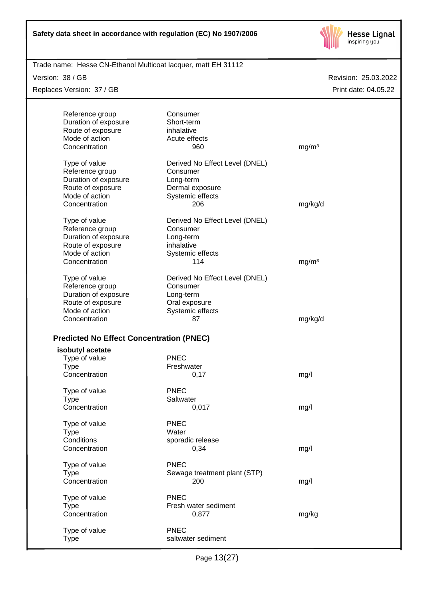

Trade name: Hesse CN-Ethanol Multicoat lacquer, matt EH 31112

Version: 38 / GB

Replaces Version: 37 / GB

Revision: 25.03.2022 Print date: 04.05.22

| Reference group                                 | Consumer                       |                   |
|-------------------------------------------------|--------------------------------|-------------------|
| Duration of exposure                            | Short-term                     |                   |
| Route of exposure                               | inhalative                     |                   |
| Mode of action                                  | Acute effects                  |                   |
| Concentration                                   | 960                            | mg/m <sup>3</sup> |
|                                                 |                                |                   |
| Type of value                                   | Derived No Effect Level (DNEL) |                   |
| Reference group                                 | Consumer                       |                   |
| Duration of exposure                            | Long-term                      |                   |
| Route of exposure                               | Dermal exposure                |                   |
| Mode of action                                  | Systemic effects               |                   |
| Concentration                                   | 206                            | mg/kg/d           |
|                                                 | Derived No Effect Level (DNEL) |                   |
| Type of value<br>Reference group                | Consumer                       |                   |
| Duration of exposure                            |                                |                   |
| Route of exposure                               | Long-term<br>inhalative        |                   |
| Mode of action                                  |                                |                   |
| Concentration                                   | Systemic effects<br>114        |                   |
|                                                 |                                | mg/m <sup>3</sup> |
| Type of value                                   | Derived No Effect Level (DNEL) |                   |
| Reference group                                 | Consumer                       |                   |
| Duration of exposure                            | Long-term                      |                   |
| Route of exposure                               | Oral exposure                  |                   |
| Mode of action                                  | Systemic effects               |                   |
| Concentration                                   | 87                             | mg/kg/d           |
|                                                 |                                |                   |
| <b>Predicted No Effect Concentration (PNEC)</b> |                                |                   |
| isobutyl acetate                                |                                |                   |
| Type of value                                   | <b>PNEC</b>                    |                   |
| <b>Type</b>                                     | Freshwater                     |                   |
| Concentration                                   | 0,17                           | mg/l              |
|                                                 |                                |                   |
| Type of value                                   | PNEC                           |                   |
| <b>Type</b>                                     | Saltwater                      |                   |
| Concentration                                   | 0,017                          | mg/l              |
| Type of value                                   | <b>PNEC</b>                    |                   |
| <b>Type</b>                                     | Water                          |                   |
| Conditions                                      | sporadic release               |                   |
| Concentration                                   | 0,34                           | mg/l              |
|                                                 |                                |                   |
| Type of value                                   | <b>PNEC</b>                    |                   |
| <b>Type</b>                                     | Sewage treatment plant (STP)   |                   |
| Concentration                                   | 200                            | mg/l              |
|                                                 | <b>PNEC</b>                    |                   |
| Type of value                                   | Fresh water sediment           |                   |
| <b>Type</b><br>Concentration                    |                                |                   |
|                                                 | 0,877                          | mg/kg             |

Type of value **PNEC** Type saltwater sediment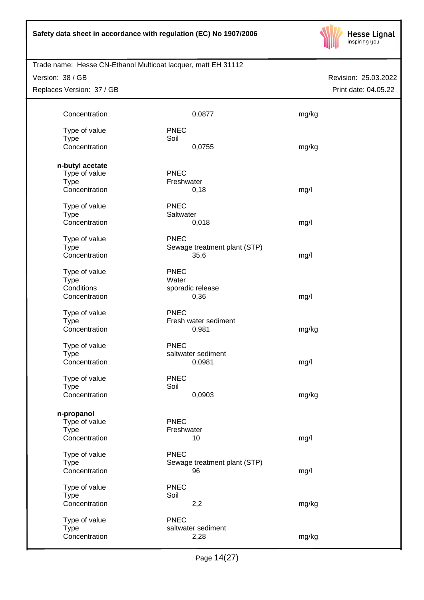

Trade name: Hesse CN-Ethanol Multicoat lacquer, matt EH 31112

Version: 38 / GB

Replaces Version: 37 / GB

| Concentration                                                    |                           | 0,0877                               | mg/kg |
|------------------------------------------------------------------|---------------------------|--------------------------------------|-------|
| Type of value<br><b>Type</b><br>Concentration                    | <b>PNEC</b><br>Soil       | 0,0755                               | mg/kg |
| n-butyl acetate<br>Type of value<br><b>Type</b><br>Concentration | PNEC<br>Freshwater        | 0,18                                 | mg/l  |
| Type of value<br><b>Type</b><br>Concentration                    | <b>PNEC</b><br>Saltwater  | 0,018                                | mg/l  |
| Type of value<br><b>Type</b><br>Concentration                    | <b>PNEC</b>               | Sewage treatment plant (STP)<br>35,6 | mg/l  |
| Type of value<br><b>Type</b><br>Conditions<br>Concentration      | <b>PNEC</b><br>Water      | sporadic release<br>0,36             | mg/l  |
| Type of value<br><b>Type</b><br>Concentration                    | <b>PNEC</b>               | Fresh water sediment<br>0,981        | mg/kg |
| Type of value<br><b>Type</b><br>Concentration                    | <b>PNEC</b>               | saltwater sediment<br>0,0981         | mg/l  |
| Type of value<br><b>Type</b><br>Concentration                    | <b>PNEC</b><br>Soil       | 0,0903                               | mg/kg |
| n-propanol<br>Type of value<br><b>Type</b><br>Concentration      | <b>PNEC</b><br>Freshwater | 10                                   | mg/l  |
| Type of value<br><b>Type</b><br>Concentration                    | <b>PNEC</b>               | Sewage treatment plant (STP)<br>96   | mg/l  |
| Type of value<br><b>Type</b><br>Concentration                    | <b>PNEC</b><br>Soil       | 2,2                                  | mg/kg |
| Type of value<br><b>Type</b><br>Concentration                    | <b>PNEC</b>               | saltwater sediment<br>2,28           | mg/kg |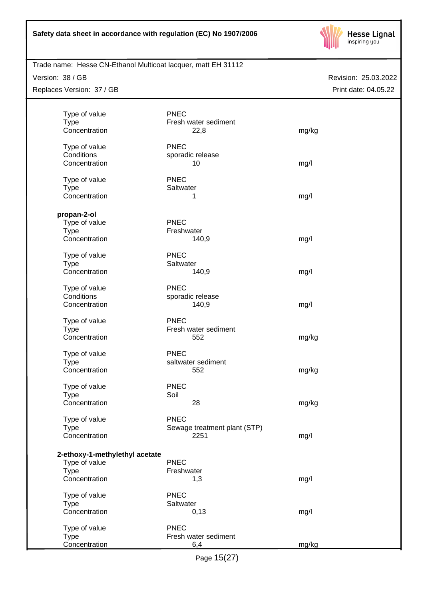

Trade name: Hesse CN-Ethanol Multicoat lacquer, matt EH 31112

Version: 38 / GB

Replaces Version: 37 / GB

|             | Type of value                  | <b>PNEC</b> |                              |       |
|-------------|--------------------------------|-------------|------------------------------|-------|
| <b>Type</b> |                                |             | Fresh water sediment         |       |
|             | Concentration                  |             | 22,8                         | mg/kg |
|             | Type of value                  | <b>PNEC</b> |                              |       |
| Conditions  |                                |             | sporadic release             |       |
|             | Concentration                  |             | 10                           | mg/l  |
|             |                                |             |                              |       |
|             | Type of value                  | <b>PNEC</b> |                              |       |
| <b>Type</b> |                                | Saltwater   |                              |       |
|             | Concentration                  |             | 1                            | mg/l  |
|             |                                |             |                              |       |
| propan-2-ol |                                | <b>PNEC</b> |                              |       |
| <b>Type</b> | Type of value                  | Freshwater  |                              |       |
|             | Concentration                  |             | 140,9                        | mg/l  |
|             |                                |             |                              |       |
|             | Type of value                  | <b>PNEC</b> |                              |       |
| <b>Type</b> |                                | Saltwater   |                              |       |
|             | Concentration                  |             | 140,9                        | mg/l  |
|             | Type of value                  | <b>PNEC</b> |                              |       |
| Conditions  |                                |             | sporadic release             |       |
|             | Concentration                  |             | 140,9                        | mg/l  |
|             |                                |             |                              |       |
|             | Type of value                  | <b>PNEC</b> |                              |       |
| <b>Type</b> |                                |             | Fresh water sediment         |       |
|             | Concentration                  |             | 552                          | mg/kg |
|             | Type of value                  | <b>PNEC</b> |                              |       |
| <b>Type</b> |                                |             | saltwater sediment           |       |
|             | Concentration                  |             | 552                          | mg/kg |
|             |                                |             |                              |       |
|             | Type of value                  | <b>PNEC</b> |                              |       |
| <b>Type</b> |                                | Soil        |                              |       |
|             | Concentration                  |             | 28                           | mg/kg |
|             | Type of value                  | <b>PNEC</b> |                              |       |
| Type        |                                |             | Sewage treatment plant (STP) |       |
|             | Concentration                  |             | 2251                         | mg/l  |
|             |                                |             |                              |       |
|             | 2-ethoxy-1-methylethyl acetate |             |                              |       |
|             | Type of value                  | <b>PNEC</b> |                              |       |
| <b>Type</b> | Concentration                  | Freshwater  |                              |       |
|             |                                |             | 1,3                          | mg/l  |
|             | Type of value                  | <b>PNEC</b> |                              |       |
| <b>Type</b> |                                | Saltwater   |                              |       |
|             | Concentration                  |             | 0,13                         | mg/l  |
|             | Type of value                  | <b>PNEC</b> |                              |       |
| <b>Type</b> |                                |             | Fresh water sediment         |       |
|             | Concentration                  |             | 6,4                          | mg/kg |
|             |                                |             |                              |       |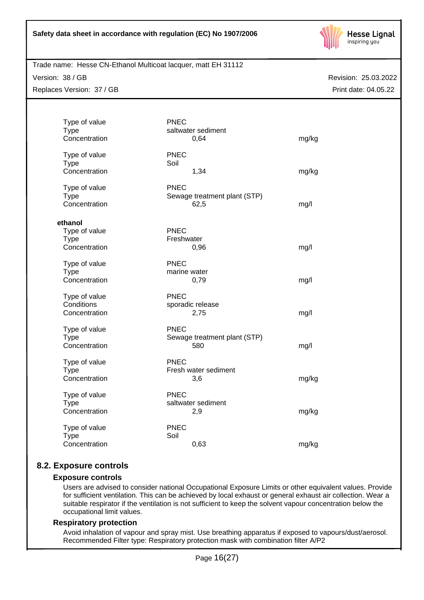

Trade name: Hesse CN-Ethanol Multicoat lacquer, matt EH 31112

Version: 38 / GB

Replaces Version: 37 / GB

Revision: 25.03.2022 Print date: 04.05.22

| Type of value<br><b>Type</b><br>Concentration            | <b>PNEC</b><br>saltwater sediment<br>0,64           | mg/kg |
|----------------------------------------------------------|-----------------------------------------------------|-------|
| Type of value<br><b>Type</b><br>Concentration            | <b>PNEC</b><br>Soil<br>1,34                         | mg/kg |
| Type of value<br><b>Type</b><br>Concentration            | <b>PNEC</b><br>Sewage treatment plant (STP)<br>62,5 | mg/l  |
|                                                          |                                                     |       |
| ethanol<br>Type of value<br><b>Type</b><br>Concentration | <b>PNEC</b><br>Freshwater<br>0,96                   | mg/l  |
| Type of value<br><b>Type</b><br>Concentration            | <b>PNEC</b><br>marine water<br>0,79                 | mg/l  |
| Type of value<br>Conditions<br>Concentration             | <b>PNEC</b><br>sporadic release<br>2,75             | mg/l  |
| Type of value<br><b>Type</b><br>Concentration            | <b>PNEC</b><br>Sewage treatment plant (STP)<br>580  | mg/l  |
| Type of value<br><b>Type</b><br>Concentration            | <b>PNEC</b><br>Fresh water sediment<br>3,6          | mg/kg |
| Type of value<br><b>Type</b><br>Concentration            | <b>PNEC</b><br>saltwater sediment<br>2,9            | mg/kg |
| Type of value<br><b>Type</b><br>Concentration            | <b>PNEC</b><br>Soil<br>0,63                         | mg/kg |

# **8.2. Exposure controls**

# **Exposure controls**

Users are advised to consider national Occupational Exposure Limits or other equivalent values. Provide for sufficient ventilation. This can be achieved by local exhaust or general exhaust air collection. Wear a suitable respirator if the ventilation is not sufficient to keep the solvent vapour concentration below the occupational limit values.

# **Respiratory protection**

Avoid inhalation of vapour and spray mist. Use breathing apparatus if exposed to vapours/dust/aerosol. Recommended Filter type: Respiratory protection mask with combination filter A/P2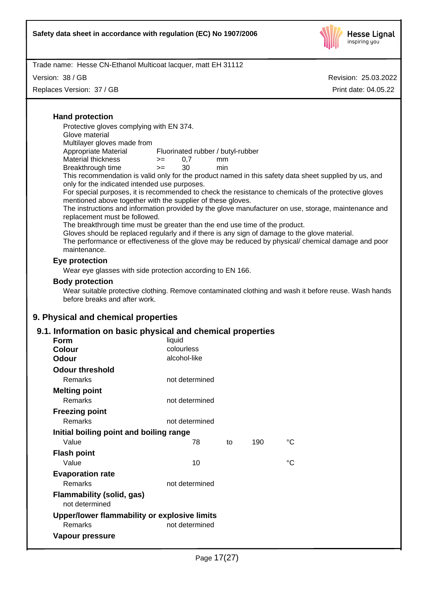

Version: 38 / GB

Replaces Version: 37 / GB

Revision: 25.03.2022 Print date: 04.05.22

# **Hand protection**

Protective gloves complying with EN 374.

Glove material

Multilayer gloves made from

Appropriate Material Fluorinated rubber / butyl-rubber Material thickness  $\rangle = 0.7$  mm

| שטאושוניות וויסודוני |  | .   |
|----------------------|--|-----|
| Breakthrough time    |  | min |

This recommendation is valid only for the product named in this safety data sheet supplied by us, and only for the indicated intended use purposes.

For special purposes, it is recommended to check the resistance to chemicals of the protective gloves mentioned above together with the supplier of these gloves.

The instructions and information provided by the glove manufacturer on use, storage, maintenance and replacement must be followed.

The breakthrough time must be greater than the end use time of the product.

Gloves should be replaced regularly and if there is any sign of damage to the glove material.

The performance or effectiveness of the glove may be reduced by physical/chemical damage and poor maintenance.

# **Eye protection**

Wear eye glasses with side protection according to EN 166.

# **Body protection**

Wear suitable protective clothing. Remove contaminated clothing and wash it before reuse. Wash hands before breaks and after work.

# **9. Physical and chemical properties**

# **9.1. Information on basic physical and chemical properties**

| <b>Form</b>                                        | liquid         |    |     |                 |
|----------------------------------------------------|----------------|----|-----|-----------------|
| <b>Colour</b>                                      | colourless     |    |     |                 |
| Odour                                              | alcohol-like   |    |     |                 |
| <b>Odour threshold</b>                             |                |    |     |                 |
| <b>Remarks</b>                                     | not determined |    |     |                 |
| <b>Melting point</b>                               |                |    |     |                 |
| Remarks                                            | not determined |    |     |                 |
| <b>Freezing point</b>                              |                |    |     |                 |
| Remarks                                            | not determined |    |     |                 |
| Initial boiling point and boiling range            |                |    |     |                 |
| Value                                              | 78             | to | 190 | $\rm ^{\circ}C$ |
| <b>Flash point</b>                                 |                |    |     |                 |
| Value                                              | 10             |    |     | $^{\circ}C$     |
| <b>Evaporation rate</b>                            |                |    |     |                 |
| Remarks                                            | not determined |    |     |                 |
| <b>Flammability (solid, gas)</b><br>not determined |                |    |     |                 |
| Upper/lower flammability or explosive limits       |                |    |     |                 |
| Remarks                                            | not determined |    |     |                 |
| Vapour pressure                                    |                |    |     |                 |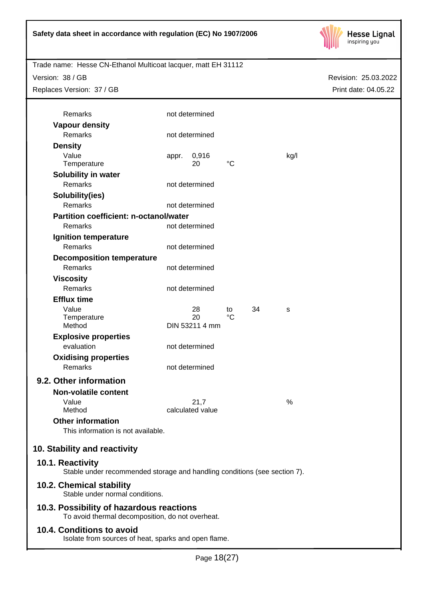

Trade name: Hesse CN-Ethanol Multicoat lacquer, matt EH 31112

Version: 38 / GB

Replaces Version: 37 / GB

| Remarks                                                                                       |       | not determined   |                 |    |               |
|-----------------------------------------------------------------------------------------------|-------|------------------|-----------------|----|---------------|
| <b>Vapour density</b>                                                                         |       |                  |                 |    |               |
| <b>Remarks</b>                                                                                |       | not determined   |                 |    |               |
| <b>Density</b>                                                                                |       |                  |                 |    |               |
| Value                                                                                         | appr. | 0,916<br>20      | $\rm ^{\circ}C$ |    | kg/l          |
| Temperature                                                                                   |       |                  |                 |    |               |
| Solubility in water<br><b>Remarks</b>                                                         |       | not determined   |                 |    |               |
|                                                                                               |       |                  |                 |    |               |
| Solubility(ies)<br>Remarks                                                                    |       | not determined   |                 |    |               |
| Partition coefficient: n-octanol/water                                                        |       |                  |                 |    |               |
| Remarks                                                                                       |       | not determined   |                 |    |               |
| <b>Ignition temperature</b>                                                                   |       |                  |                 |    |               |
| <b>Remarks</b>                                                                                |       | not determined   |                 |    |               |
|                                                                                               |       |                  |                 |    |               |
| <b>Decomposition temperature</b><br><b>Remarks</b>                                            |       | not determined   |                 |    |               |
| <b>Viscosity</b>                                                                              |       |                  |                 |    |               |
| <b>Remarks</b>                                                                                |       | not determined   |                 |    |               |
| <b>Efflux time</b>                                                                            |       |                  |                 |    |               |
| Value                                                                                         |       | 28               | to              | 34 | s             |
| Temperature                                                                                   |       | 20               | $^{\circ}C$     |    |               |
| Method                                                                                        |       | DIN 53211 4 mm   |                 |    |               |
| <b>Explosive properties</b>                                                                   |       |                  |                 |    |               |
| evaluation                                                                                    |       | not determined   |                 |    |               |
| <b>Oxidising properties</b>                                                                   |       |                  |                 |    |               |
| Remarks                                                                                       |       | not determined   |                 |    |               |
| 9.2. Other information                                                                        |       |                  |                 |    |               |
| <b>Non-volatile content</b>                                                                   |       |                  |                 |    |               |
| Value                                                                                         |       | 21,7             |                 |    | $\frac{0}{0}$ |
| Method                                                                                        |       | calculated value |                 |    |               |
| <b>Other information</b>                                                                      |       |                  |                 |    |               |
| This information is not available.                                                            |       |                  |                 |    |               |
|                                                                                               |       |                  |                 |    |               |
| 10. Stability and reactivity                                                                  |       |                  |                 |    |               |
| 10.1. Reactivity<br>Stable under recommended storage and handling conditions (see section 7). |       |                  |                 |    |               |
| 10.2. Chemical stability<br>Stable under normal conditions.                                   |       |                  |                 |    |               |
| 10.3. Possibility of hazardous reactions<br>To avoid thermal decomposition, do not overheat.  |       |                  |                 |    |               |
| 10.4. Conditions to avoid<br>Isolate from sources of heat, sparks and open flame.             |       |                  |                 |    |               |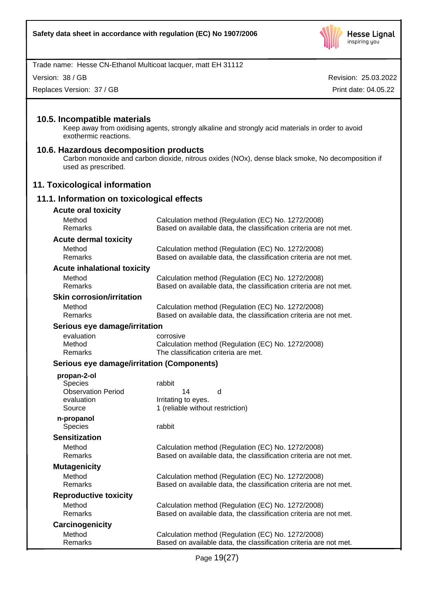

Version: 38 / GB

Replaces Version: 37 / GB

Revision: 25.03.2022 Print date: 04.05.22

# **10.5. Incompatible materials**

Keep away from oxidising agents, strongly alkaline and strongly acid materials in order to avoid exothermic reactions.

#### **10.6. Hazardous decomposition products**

Carbon monoxide and carbon dioxide, nitrous oxides (NOx), dense black smoke, No decomposition if used as prescribed.

# **11. Toxicological information**

# **11.1. Information on toxicological effects**

| <b>Acute oral toxicity</b>                 |                                                                                                                         |
|--------------------------------------------|-------------------------------------------------------------------------------------------------------------------------|
| Method<br>Remarks                          | Calculation method (Regulation (EC) No. 1272/2008)<br>Based on available data, the classification criteria are not met. |
| <b>Acute dermal toxicity</b>               |                                                                                                                         |
| Method<br>Remarks                          | Calculation method (Regulation (EC) No. 1272/2008)<br>Based on available data, the classification criteria are not met. |
| <b>Acute inhalational toxicity</b>         |                                                                                                                         |
| Method<br>Remarks                          | Calculation method (Regulation (EC) No. 1272/2008)<br>Based on available data, the classification criteria are not met. |
| <b>Skin corrosion/irritation</b>           |                                                                                                                         |
| Method<br>Remarks                          | Calculation method (Regulation (EC) No. 1272/2008)<br>Based on available data, the classification criteria are not met. |
| Serious eye damage/irritation              |                                                                                                                         |
| evaluation<br>Method<br>Remarks            | corrosive<br>Calculation method (Regulation (EC) No. 1272/2008)<br>The classification criteria are met.                 |
| Serious eye damage/irritation (Components) |                                                                                                                         |
| propan-2-ol                                |                                                                                                                         |
| <b>Species</b>                             | rabbit                                                                                                                  |
| <b>Observation Period</b>                  | 14<br>d                                                                                                                 |
| evaluation<br>Source                       | Irritating to eyes.<br>1 (reliable without restriction)                                                                 |
| n-propanol<br><b>Species</b>               | rabbit                                                                                                                  |
| <b>Sensitization</b>                       |                                                                                                                         |
| Method<br>Remarks                          | Calculation method (Regulation (EC) No. 1272/2008)<br>Based on available data, the classification criteria are not met. |
| <b>Mutagenicity</b>                        |                                                                                                                         |
| Method<br>Remarks                          | Calculation method (Regulation (EC) No. 1272/2008)<br>Based on available data, the classification criteria are not met. |
| <b>Reproductive toxicity</b>               |                                                                                                                         |
| Method<br>Remarks                          | Calculation method (Regulation (EC) No. 1272/2008)<br>Based on available data, the classification criteria are not met. |

**Carcinogenicity** Method Calculation method (Regulation (EC) No. 1272/2008)<br>Remarks Based on available data, the classification criteria are Based on available data, the classification criteria are not met.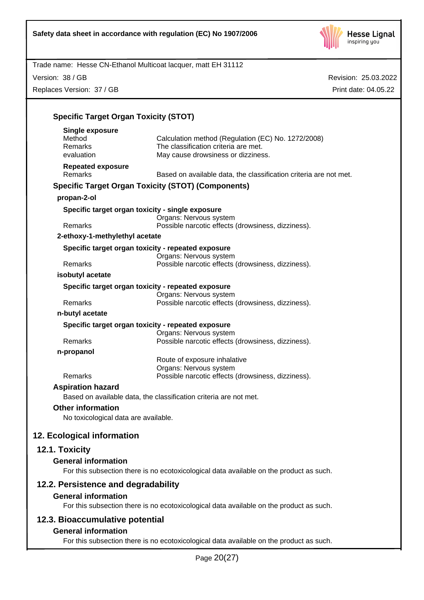

Version: 38 / GB Replaces Version: 37 / GB

| <b>Specific Target Organ Toxicity (STOT)</b> |                                                                                            |
|----------------------------------------------|--------------------------------------------------------------------------------------------|
| <b>Single exposure</b><br>Method             |                                                                                            |
| Remarks                                      | Calculation method (Regulation (EC) No. 1272/2008)<br>The classification criteria are met. |
| evaluation                                   | May cause drowsiness or dizziness.                                                         |
| <b>Repeated exposure</b>                     |                                                                                            |
| <b>Remarks</b>                               | Based on available data, the classification criteria are not met.                          |
|                                              | <b>Specific Target Organ Toxicity (STOT) (Components)</b>                                  |
| propan-2-ol                                  |                                                                                            |
|                                              | Specific target organ toxicity - single exposure<br>Organs: Nervous system                 |
| Remarks                                      | Possible narcotic effects (drowsiness, dizziness).                                         |
| 2-ethoxy-1-methylethyl acetate               |                                                                                            |
|                                              | Specific target organ toxicity - repeated exposure                                         |
|                                              | Organs: Nervous system                                                                     |
| Remarks                                      | Possible narcotic effects (drowsiness, dizziness).                                         |
| isobutyl acetate                             |                                                                                            |
|                                              | Specific target organ toxicity - repeated exposure<br>Organs: Nervous system               |
| Remarks                                      | Possible narcotic effects (drowsiness, dizziness).                                         |
| n-butyl acetate                              |                                                                                            |
|                                              | Specific target organ toxicity - repeated exposure<br>Organs: Nervous system               |
| Remarks                                      | Possible narcotic effects (drowsiness, dizziness).                                         |
| n-propanol                                   |                                                                                            |
|                                              | Route of exposure inhalative                                                               |
| Remarks                                      | Organs: Nervous system<br>Possible narcotic effects (drowsiness, dizziness).               |
| <b>Aspiration hazard</b>                     |                                                                                            |
|                                              | Based on available data, the classification criteria are not met.                          |
| <b>Other information</b>                     |                                                                                            |
| No toxicological data are available.         |                                                                                            |
| 12. Ecological information                   |                                                                                            |
| 12.1. Toxicity                               |                                                                                            |
| <b>General information</b>                   |                                                                                            |
|                                              | For this subsection there is no ecotoxicological data available on the product as such.    |
| 12.2. Persistence and degradability          |                                                                                            |
| <b>General information</b>                   |                                                                                            |
|                                              | For this subsection there is no ecotoxicological data available on the product as such.    |
| 12.3. Bioaccumulative potential              |                                                                                            |
| <b>General information</b>                   |                                                                                            |
|                                              | For this subsection there is no ecotoxicological data available on the product as such.    |
|                                              | 00/27                                                                                      |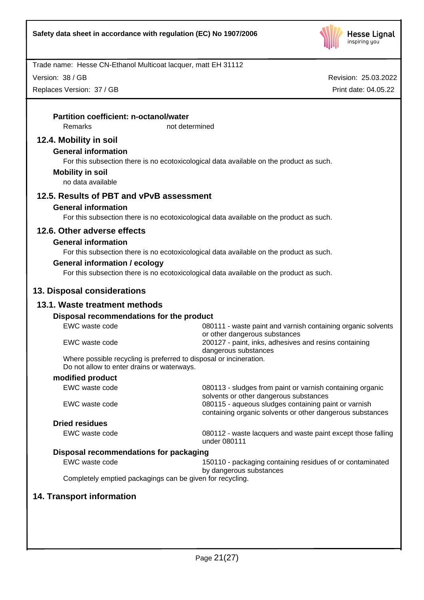

Version: 38 / GB

Replaces Version: 37 / GB

| Remarks<br>not determined<br>12.4. Mobility in soil<br><b>General information</b><br>For this subsection there is no ecotoxicological data available on the product as such.<br><b>Mobility in soil</b><br>no data available<br>12.5. Results of PBT and vPvB assessment<br><b>General information</b><br>For this subsection there is no ecotoxicological data available on the product as such.<br>12.6. Other adverse effects<br><b>General information</b><br>For this subsection there is no ecotoxicological data available on the product as such.<br><b>General information / ecology</b><br>For this subsection there is no ecotoxicological data available on the product as such.<br>13. Disposal considerations<br>13.1. Waste treatment methods<br>Disposal recommendations for the product<br>EWC waste code<br>or other dangerous substances<br>EWC waste code<br>200127 - paint, inks, adhesives and resins containing<br>dangerous substances<br>Where possible recycling is preferred to disposal or incineration.<br>Do not allow to enter drains or waterways.<br>modified product<br>EWC waste code<br>solvents or other dangerous substances<br>EWC waste code<br>080115 - aqueous sludges containing paint or varnish<br><b>Dried residues</b><br>EWC waste code<br>under 080111<br>Disposal recommendations for packaging<br>EWC waste code<br>by dangerous substances<br>Completely emptied packagings can be given for recycling. | <b>Partition coefficient: n-octanol/water</b> |                                                              |
|-------------------------------------------------------------------------------------------------------------------------------------------------------------------------------------------------------------------------------------------------------------------------------------------------------------------------------------------------------------------------------------------------------------------------------------------------------------------------------------------------------------------------------------------------------------------------------------------------------------------------------------------------------------------------------------------------------------------------------------------------------------------------------------------------------------------------------------------------------------------------------------------------------------------------------------------------------------------------------------------------------------------------------------------------------------------------------------------------------------------------------------------------------------------------------------------------------------------------------------------------------------------------------------------------------------------------------------------------------------------------------------------------------------------------------------------------------------|-----------------------------------------------|--------------------------------------------------------------|
|                                                                                                                                                                                                                                                                                                                                                                                                                                                                                                                                                                                                                                                                                                                                                                                                                                                                                                                                                                                                                                                                                                                                                                                                                                                                                                                                                                                                                                                             |                                               |                                                              |
|                                                                                                                                                                                                                                                                                                                                                                                                                                                                                                                                                                                                                                                                                                                                                                                                                                                                                                                                                                                                                                                                                                                                                                                                                                                                                                                                                                                                                                                             |                                               |                                                              |
|                                                                                                                                                                                                                                                                                                                                                                                                                                                                                                                                                                                                                                                                                                                                                                                                                                                                                                                                                                                                                                                                                                                                                                                                                                                                                                                                                                                                                                                             |                                               |                                                              |
|                                                                                                                                                                                                                                                                                                                                                                                                                                                                                                                                                                                                                                                                                                                                                                                                                                                                                                                                                                                                                                                                                                                                                                                                                                                                                                                                                                                                                                                             |                                               |                                                              |
|                                                                                                                                                                                                                                                                                                                                                                                                                                                                                                                                                                                                                                                                                                                                                                                                                                                                                                                                                                                                                                                                                                                                                                                                                                                                                                                                                                                                                                                             |                                               |                                                              |
|                                                                                                                                                                                                                                                                                                                                                                                                                                                                                                                                                                                                                                                                                                                                                                                                                                                                                                                                                                                                                                                                                                                                                                                                                                                                                                                                                                                                                                                             |                                               |                                                              |
|                                                                                                                                                                                                                                                                                                                                                                                                                                                                                                                                                                                                                                                                                                                                                                                                                                                                                                                                                                                                                                                                                                                                                                                                                                                                                                                                                                                                                                                             |                                               |                                                              |
|                                                                                                                                                                                                                                                                                                                                                                                                                                                                                                                                                                                                                                                                                                                                                                                                                                                                                                                                                                                                                                                                                                                                                                                                                                                                                                                                                                                                                                                             |                                               |                                                              |
|                                                                                                                                                                                                                                                                                                                                                                                                                                                                                                                                                                                                                                                                                                                                                                                                                                                                                                                                                                                                                                                                                                                                                                                                                                                                                                                                                                                                                                                             |                                               |                                                              |
|                                                                                                                                                                                                                                                                                                                                                                                                                                                                                                                                                                                                                                                                                                                                                                                                                                                                                                                                                                                                                                                                                                                                                                                                                                                                                                                                                                                                                                                             |                                               |                                                              |
|                                                                                                                                                                                                                                                                                                                                                                                                                                                                                                                                                                                                                                                                                                                                                                                                                                                                                                                                                                                                                                                                                                                                                                                                                                                                                                                                                                                                                                                             |                                               |                                                              |
|                                                                                                                                                                                                                                                                                                                                                                                                                                                                                                                                                                                                                                                                                                                                                                                                                                                                                                                                                                                                                                                                                                                                                                                                                                                                                                                                                                                                                                                             |                                               |                                                              |
|                                                                                                                                                                                                                                                                                                                                                                                                                                                                                                                                                                                                                                                                                                                                                                                                                                                                                                                                                                                                                                                                                                                                                                                                                                                                                                                                                                                                                                                             |                                               |                                                              |
|                                                                                                                                                                                                                                                                                                                                                                                                                                                                                                                                                                                                                                                                                                                                                                                                                                                                                                                                                                                                                                                                                                                                                                                                                                                                                                                                                                                                                                                             |                                               |                                                              |
|                                                                                                                                                                                                                                                                                                                                                                                                                                                                                                                                                                                                                                                                                                                                                                                                                                                                                                                                                                                                                                                                                                                                                                                                                                                                                                                                                                                                                                                             |                                               |                                                              |
|                                                                                                                                                                                                                                                                                                                                                                                                                                                                                                                                                                                                                                                                                                                                                                                                                                                                                                                                                                                                                                                                                                                                                                                                                                                                                                                                                                                                                                                             |                                               | 080111 - waste paint and varnish containing organic solvents |
|                                                                                                                                                                                                                                                                                                                                                                                                                                                                                                                                                                                                                                                                                                                                                                                                                                                                                                                                                                                                                                                                                                                                                                                                                                                                                                                                                                                                                                                             |                                               |                                                              |
|                                                                                                                                                                                                                                                                                                                                                                                                                                                                                                                                                                                                                                                                                                                                                                                                                                                                                                                                                                                                                                                                                                                                                                                                                                                                                                                                                                                                                                                             |                                               |                                                              |
|                                                                                                                                                                                                                                                                                                                                                                                                                                                                                                                                                                                                                                                                                                                                                                                                                                                                                                                                                                                                                                                                                                                                                                                                                                                                                                                                                                                                                                                             |                                               |                                                              |
|                                                                                                                                                                                                                                                                                                                                                                                                                                                                                                                                                                                                                                                                                                                                                                                                                                                                                                                                                                                                                                                                                                                                                                                                                                                                                                                                                                                                                                                             |                                               | 080113 - sludges from paint or varnish containing organic    |
|                                                                                                                                                                                                                                                                                                                                                                                                                                                                                                                                                                                                                                                                                                                                                                                                                                                                                                                                                                                                                                                                                                                                                                                                                                                                                                                                                                                                                                                             |                                               | containing organic solvents or other dangerous substances    |
|                                                                                                                                                                                                                                                                                                                                                                                                                                                                                                                                                                                                                                                                                                                                                                                                                                                                                                                                                                                                                                                                                                                                                                                                                                                                                                                                                                                                                                                             |                                               |                                                              |
|                                                                                                                                                                                                                                                                                                                                                                                                                                                                                                                                                                                                                                                                                                                                                                                                                                                                                                                                                                                                                                                                                                                                                                                                                                                                                                                                                                                                                                                             |                                               | 080112 - waste lacquers and waste paint except those falling |
|                                                                                                                                                                                                                                                                                                                                                                                                                                                                                                                                                                                                                                                                                                                                                                                                                                                                                                                                                                                                                                                                                                                                                                                                                                                                                                                                                                                                                                                             |                                               |                                                              |
|                                                                                                                                                                                                                                                                                                                                                                                                                                                                                                                                                                                                                                                                                                                                                                                                                                                                                                                                                                                                                                                                                                                                                                                                                                                                                                                                                                                                                                                             |                                               | 150110 - packaging containing residues of or contaminated    |
|                                                                                                                                                                                                                                                                                                                                                                                                                                                                                                                                                                                                                                                                                                                                                                                                                                                                                                                                                                                                                                                                                                                                                                                                                                                                                                                                                                                                                                                             |                                               |                                                              |
| <b>14. Transport information</b>                                                                                                                                                                                                                                                                                                                                                                                                                                                                                                                                                                                                                                                                                                                                                                                                                                                                                                                                                                                                                                                                                                                                                                                                                                                                                                                                                                                                                            |                                               |                                                              |
|                                                                                                                                                                                                                                                                                                                                                                                                                                                                                                                                                                                                                                                                                                                                                                                                                                                                                                                                                                                                                                                                                                                                                                                                                                                                                                                                                                                                                                                             |                                               |                                                              |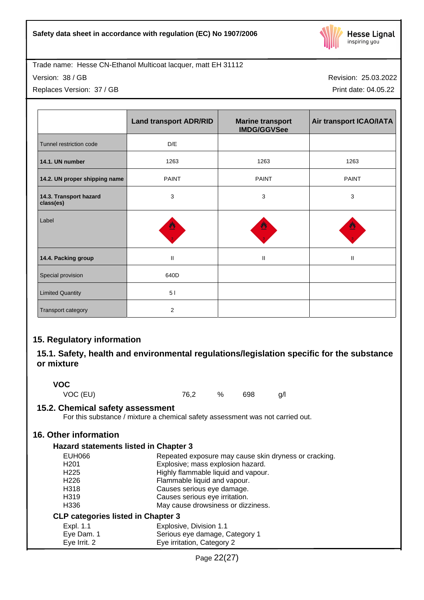

Version: 38 / GB

Replaces Version: 37 / GB

Revision: 25.03.2022 Print date: 04.05.22

|                                     | <b>Land transport ADR/RID</b> | <b>Marine transport</b><br><b>IMDG/GGVSee</b> | Air transport ICAO/IATA    |
|-------------------------------------|-------------------------------|-----------------------------------------------|----------------------------|
| Tunnel restriction code             | $\mathsf{D}/\mathsf{E}$       |                                               |                            |
| 14.1. UN number                     | 1263                          | 1263                                          | 1263                       |
| 14.2. UN proper shipping name       | <b>PAINT</b>                  | <b>PAINT</b>                                  | <b>PAINT</b>               |
| 14.3. Transport hazard<br>class(es) | 3                             | 3                                             | $\ensuremath{\mathsf{3}}$  |
| Label                               |                               |                                               |                            |
| 14.4. Packing group                 | $\sf H$                       | Ш                                             | $\ensuremath{\mathsf{II}}$ |
| Special provision                   | 640D                          |                                               |                            |
| <b>Limited Quantity</b>             | 51                            |                                               |                            |
| Transport category                  | 2                             |                                               |                            |

# **15. Regulatory information**

# **15.1. Safety, health and environmental regulations/legislation specific for the substance or mixture**

**VOC**

VOC (EU) 76,2 % 698 g/l

**15.2. Chemical safety assessment**

For this substance / mixture a chemical safety assessment was not carried out.

# **16. Other information**

# **Hazard statements listed in Chapter 3**

| EUH066            | Repeated exposure may cause skin dryness or cracking. |
|-------------------|-------------------------------------------------------|
| H <sub>201</sub>  | Explosive; mass explosion hazard.                     |
| H <sub>225</sub>  | Highly flammable liquid and vapour.                   |
| H <sub>226</sub>  | Flammable liquid and vapour.                          |
| H318              | Causes serious eye damage.                            |
| H <sub>3</sub> 19 | Causes serious eye irritation.                        |
| H <sub>336</sub>  | May cause drowsiness or dizziness.                    |
|                   | <b>CLP categories listed in Chapter 3</b>             |
| Expl. 1.1         | Explosive, Division 1.1                               |

| Eye Dam. 1 | Serious eye damage, Category 1 |
|------------|--------------------------------|
|            |                                |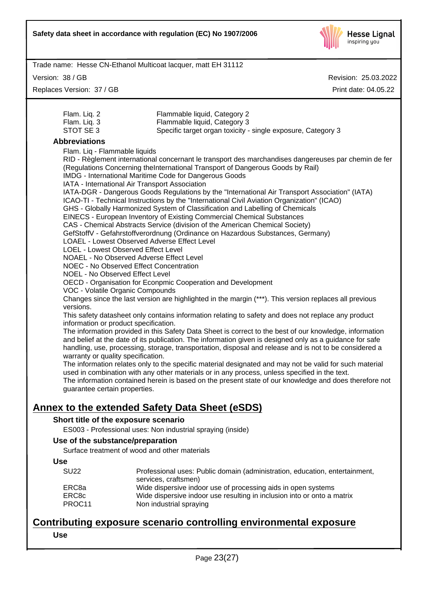

Version: 38 / GB

Replaces Version: 37 / GB

Revision: 25.03.2022 Print date: 04.05.22

| Flam. Lig. 2 | Flammable liquid, Category 2                                 |
|--------------|--------------------------------------------------------------|
| Flam. Lig. 3 | Flammable liquid, Category 3                                 |
| STOT SE 3    | Specific target organ toxicity - single exposure, Category 3 |

# **Abbreviations**

| Flam. Liq - Flammable liquids                                                                            |
|----------------------------------------------------------------------------------------------------------|
| RID - Règlement international concernant le transport des marchandises dangereuses par chemin de fer     |
| (Regulations Concerning theInternational Transport of Dangerous Goods by Rail)                           |
| IMDG - International Maritime Code for Dangerous Goods                                                   |
| IATA - International Air Transport Association                                                           |
| IATA-DGR - Dangerous Goods Regulations by the "International Air Transport Association" (IATA)           |
| ICAO-TI - Technical Instructions by the "International Civil Aviation Organization" (ICAO)               |
| GHS - Globally Harmonized System of Classification and Labelling of Chemicals                            |
| EINECS - European Inventory of Existing Commercial Chemical Substances                                   |
| CAS - Chemical Abstracts Service (division of the American Chemical Society)                             |
| GefStoffV - Gefahrstoffverordnung (Ordinance on Hazardous Substances, Germany)                           |
| <b>LOAEL - Lowest Observed Adverse Effect Level</b>                                                      |
| LOEL - Lowest Observed Effect Level                                                                      |
| NOAEL - No Observed Adverse Effect Level                                                                 |
| <b>NOEC - No Observed Effect Concentration</b>                                                           |
| <b>NOEL - No Observed Effect Level</b>                                                                   |
| OECD - Organisation for Econpmic Cooperation and Development                                             |
| VOC - Volatile Organic Compounds                                                                         |
| Changes since the last version are highlighted in the margin (***). This version replaces all previous   |
| versions.                                                                                                |
| This safety datasheet only contains information relating to safety and does not replace any product      |
| information or product specification.                                                                    |
| The information provided in this Safety Data Sheet is correct to the best of our knowledge, information  |
| and belief at the date of its publication. The information given is designed only as a guidance for safe |
| handling, use, processing, storage, transportation, disposal and release and is not to be considered a   |
| warranty or quality specification.                                                                       |
| The information relates only to the specific material designated and may not be valid for such material  |
| used in combination with any other materials or in any process, unless specified in the text.            |
| The information contained herein is based on the present state of our knowledge and does therefore not   |
| guarantee certain properties.                                                                            |
| r to the extended Safety Data Sheet (eSDS)                                                               |
|                                                                                                          |

# **Annex to the extended Safety Data Sheet (eSDS)**

# **Short title of the exposure scenario**

ES003 - Professional uses: Non industrial spraying (inside)

# **Use of the substance/preparation**

Surface treatment of wood and other materials

| Use |  |  |  |
|-----|--|--|--|
|     |  |  |  |

| <b>SU22</b>       | Professional uses: Public domain (administration, education, entertainment,<br>services, craftsmen) |  |
|-------------------|-----------------------------------------------------------------------------------------------------|--|
| ERC <sub>8a</sub> | Wide dispersive indoor use of processing aids in open systems                                       |  |
| ERC <sub>8c</sub> | Wide dispersive indoor use resulting in inclusion into or onto a matrix                             |  |
| PROC11            | Non industrial spraying                                                                             |  |

# **Contributing exposure scenario controlling environmental exposure**

**Use**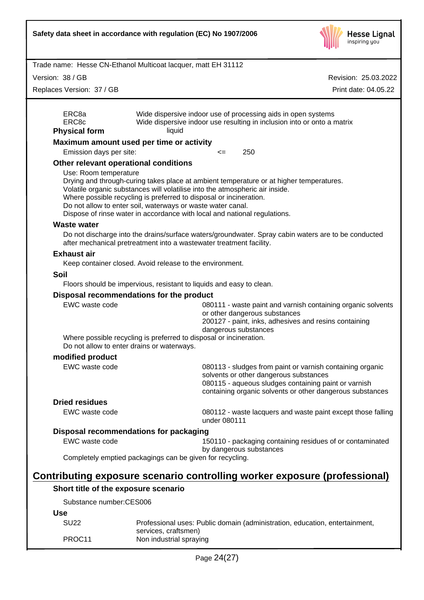

Revision: 25.03.2022

Trade name: Hesse CN-Ethanol Multicoat lacquer, matt EH 31112

Version: 38 / GB

| Replaces Version: 37 / GB              |                                                             | Print date: 04.05.22                                                                                                                                                                                                                                                                                                       |
|----------------------------------------|-------------------------------------------------------------|----------------------------------------------------------------------------------------------------------------------------------------------------------------------------------------------------------------------------------------------------------------------------------------------------------------------------|
| ERC8a<br>ERC8c<br><b>Physical form</b> | liquid                                                      | Wide dispersive indoor use of processing aids in open systems<br>Wide dispersive indoor use resulting in inclusion into or onto a matrix                                                                                                                                                                                   |
|                                        | Maximum amount used per time or activity                    |                                                                                                                                                                                                                                                                                                                            |
| Emission days per site:                |                                                             | 250<br>$\leq$                                                                                                                                                                                                                                                                                                              |
|                                        | Other relevant operational conditions                       |                                                                                                                                                                                                                                                                                                                            |
| Use: Room temperature                  | Do not allow to enter soil, waterways or waste water canal. | Drying and through-curing takes place at ambient temperature or at higher temperatures.<br>Volatile organic substances will volatilise into the atmospheric air inside.<br>Where possible recycling is preferred to disposal or incineration.<br>Dispose of rinse water in accordance with local and national regulations. |
| <b>Waste water</b>                     |                                                             |                                                                                                                                                                                                                                                                                                                            |
|                                        |                                                             | Do not discharge into the drains/surface waters/groundwater. Spray cabin waters are to be conducted<br>after mechanical pretreatment into a wastewater treatment facility.                                                                                                                                                 |
| <b>Exhaust air</b>                     |                                                             |                                                                                                                                                                                                                                                                                                                            |
|                                        | Keep container closed. Avoid release to the environment.    |                                                                                                                                                                                                                                                                                                                            |
| Soil                                   |                                                             |                                                                                                                                                                                                                                                                                                                            |
|                                        |                                                             | Floors should be impervious, resistant to liquids and easy to clean.                                                                                                                                                                                                                                                       |
|                                        | Disposal recommendations for the product                    |                                                                                                                                                                                                                                                                                                                            |
| EWC waste code                         | Do not allow to enter drains or waterways.                  | 080111 - waste paint and varnish containing organic solvents<br>or other dangerous substances<br>200127 - paint, inks, adhesives and resins containing<br>dangerous substances<br>Where possible recycling is preferred to disposal or incineration.                                                                       |
| modified product                       |                                                             |                                                                                                                                                                                                                                                                                                                            |
| EWC waste code                         |                                                             | 080113 - sludges from paint or varnish containing organic<br>solvents or other dangerous substances<br>080115 - aqueous sludges containing paint or varnish<br>containing organic solvents or other dangerous substances                                                                                                   |
| <b>Dried residues</b>                  |                                                             |                                                                                                                                                                                                                                                                                                                            |
| EWC waste code                         |                                                             | 080112 - waste lacquers and waste paint except those falling<br>under 080111                                                                                                                                                                                                                                               |
|                                        | Disposal recommendations for packaging                      |                                                                                                                                                                                                                                                                                                                            |
| EWC waste code                         |                                                             | 150110 - packaging containing residues of or contaminated<br>by dangerous substances                                                                                                                                                                                                                                       |
|                                        | Completely emptied packagings can be given for recycling.   |                                                                                                                                                                                                                                                                                                                            |
|                                        |                                                             | Contributing exposure scenario controlling worker exposure (professional)                                                                                                                                                                                                                                                  |
|                                        | Short title of the exposure scenario                        |                                                                                                                                                                                                                                                                                                                            |
| Substance number:CES006                |                                                             |                                                                                                                                                                                                                                                                                                                            |
| <b>Use</b>                             |                                                             |                                                                                                                                                                                                                                                                                                                            |
| <b>SU22</b>                            | services, craftsmen)                                        | Professional uses: Public domain (administration, education, entertainment,                                                                                                                                                                                                                                                |

PROC11 Non industrial spraying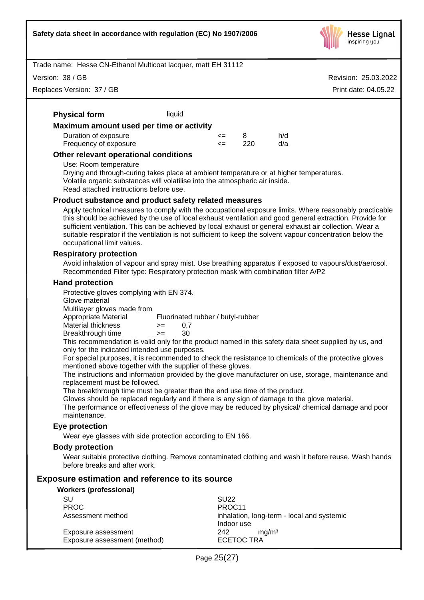

Revision: 25.03.2022

Print date: 04.05.22

Trade name: Hesse CN-Ethanol Multicoat lacquer, matt EH 31112

Version: 38 / GB

Replaces Version: 37 / GB

# **Physical form** liquid

| Maximum amount used per time or activity |            |      |     |
|------------------------------------------|------------|------|-----|
| Duration of exposure                     | $\leq$ 8   |      | h/d |
| Frequency of exposure                    | $\leq$ $=$ | -220 | d/a |

#### **Other relevant operational conditions**

#### Use: Room temperature

Drying and through-curing takes place at ambient temperature or at higher temperatures. Volatile organic substances will volatilise into the atmospheric air inside. Read attached instructions before use.

#### **Product substance and product safety related measures**

Apply technical measures to comply with the occupational exposure limits. Where reasonably practicable this should be achieved by the use of local exhaust ventilation and good general extraction. Provide for sufficient ventilation. This can be achieved by local exhaust or general exhaust air collection. Wear a suitable respirator if the ventilation is not sufficient to keep the solvent vapour concentration below the occupational limit values.

#### **Respiratory protection**

Avoid inhalation of vapour and spray mist. Use breathing apparatus if exposed to vapours/dust/aerosol. Recommended Filter type: Respiratory protection mask with combination filter A/P2

#### **Hand protection**

Protective gloves complying with EN 374.

Glove material

Multilayer gloves made from<br>Appropriate Material

Fluorinated rubber / butyl-rubber

Material thickness  $> = 0.7$ 

Breakthrough time >= 30

This recommendation is valid only for the product named in this safety data sheet supplied by us, and only for the indicated intended use purposes.

For special purposes, it is recommended to check the resistance to chemicals of the protective gloves mentioned above together with the supplier of these gloves.

The instructions and information provided by the glove manufacturer on use, storage, maintenance and replacement must be followed.

The breakthrough time must be greater than the end use time of the product.

Gloves should be replaced regularly and if there is any sign of damage to the glove material.

The performance or effectiveness of the glove may be reduced by physical/chemical damage and poor maintenance.

#### **Eye protection**

Wear eye glasses with side protection according to EN 166.

#### **Body protection**

Wear suitable protective clothing. Remove contaminated clothing and wash it before reuse. Wash hands before breaks and after work.

# **Exposure estimation and reference to its source**

| <b>Workers (professional)</b>                       |                                                          |  |  |
|-----------------------------------------------------|----------------------------------------------------------|--|--|
| SU                                                  | SU <sub>22</sub>                                         |  |  |
| <b>PROC</b>                                         | PROC <sub>11</sub>                                       |  |  |
| Assessment method                                   | inhalation, long-term - local and systemic<br>Indoor use |  |  |
| Exposure assessment<br>Exposure assessment (method) | 242<br>ma/m <sup>3</sup><br><b>ECETOC TRA</b>            |  |  |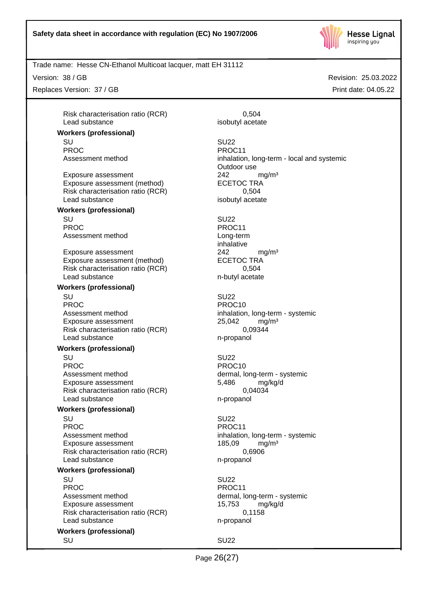

Trade name: Hesse CN-Ethanol Multicoat lacquer, matt EH 31112

Version: 38 / GB

Replaces Version: 37 / GB

Risk characterisation ratio (RCR) 0,504 Lead substance isobutyl acetate

**Workers (professional)**

Exposure assessment <br>
Exposure assessment (method) 
<br>
ECETOC TRA Exposure assessment (method) Risk characterisation ratio (RCR) 0,504 Lead substance isobutyl acetate

# **Workers (professional)** SU SU22

PROC PROCTER PROCTER PROCTER PROCTER PROCTER PROCTER PROCTER PROCTER PROCTER PROCTER PROCTER PROCTER PROCTER PROCTER PROCTER PROCTER PROCTER PROCTER PROCTER PROCTER PROCTER PROCTER PROCTER PROCTER PROCTER PROCTER PROCTER P Assessment method by Long-term

Exposure assessment 242 mg/m<sup>3</sup> Exposure assessment (method) ECETOC TRA Risk characterisation ratio (RCR) 0,504 Lead substance n-butyl acetate

#### **Workers (professional)**

SU SU22 PROC PROCTER PROCTER PROCTER PROCTER PROCTER PROCTER PROCTER PROCTER PROCTER PROCTER PROCTER PROCTER PROCTER PROCTER PROCTER PROCTER PROCTER PROCTER PROCTER PROCTER PROCTER PROCTER PROCTER PROCTER PROCTER PROCTER PROCTER P Assessment method inhalation, long-term - systemic Exposure assessment 25,042 mg/m<sup>3</sup> Risk characterisation ratio (RCR) 0,09344 Lead substance n-propanol

#### **Workers (professional)**

SU SU22 PROC PROCTER PROCTER PROCTER PROCTER PROCTER PROCTER PROCTER PROCTER PROCTER PROCTER PROCTER PROCTER PROCTER P Assessment method dermal, long-term - systemic Exposure assessment 5,486 mg/kg/d Risk characterisation ratio (RCR) 0,04034 Lead substance n-propanol

#### **Workers (professional)**

SU SU22 PROC PROCTER PROCTER PROCTER PROCTER PROCTER PROCTER PROCTER PROCTER PROCTER PROCTER PROCTER PROCTER PROCTER PROC Assessment method inhalation, long-term - systemic Exposure assessment 185,09 mg/m<sup>3</sup> Risk characterisation ratio (RCR) 0,6906 Lead substance n-propanol

#### **Workers (professional)**

SU SU22 PROC PROCTER PROCTER PROCTER PROCTER PROCTER PROCTER PROCTER PROCTER PROCTER PROCTER PROCTER PROCTER PROCTER PROC Assessment method dermal, long-term - systemic Exposure assessment 15,753 mg/kg/d Risk characterisation ratio (RCR) 0,1158 Lead substance n-propanol

#### **Workers (professional)**

SU SU22 PROC PROCTER PROCTER PROCTER PROCTER PROCTER PROCTER PROCTER PROCTER PROCTER PROCTER PROCTER PROCTER PROCTER PROCTER PROCTER PROCTER PROCTER PROCTER PROCTER PROCTER PROCTER PROCTER PROCTER PROCTER PROCTER PROCTER PROCTER P Assessment method inhalation, long-term - local and systemic Outdoor use

inhalative

SU SU22